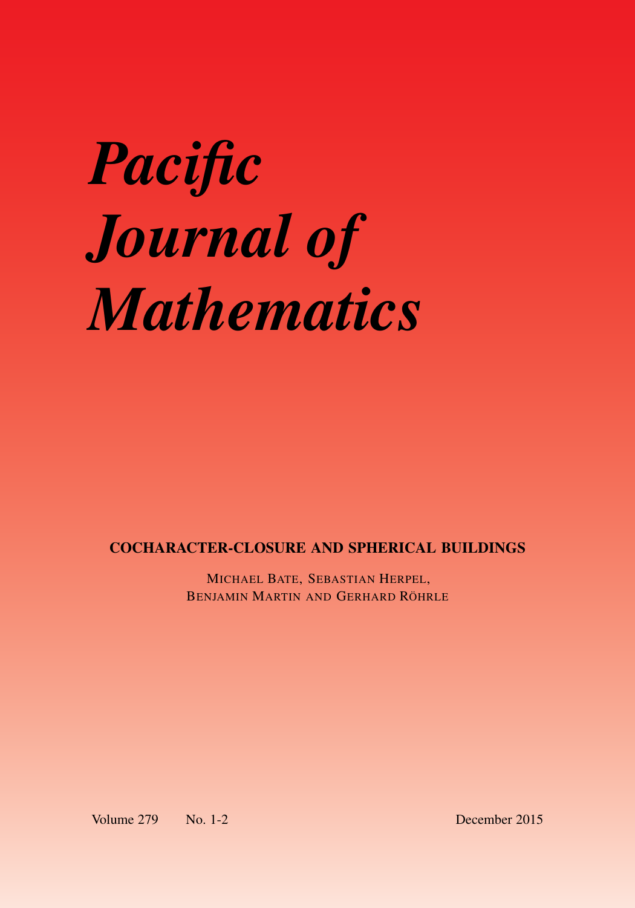# *Pacific Journal of Mathematics*

COCHARACTER-CLOSURE AND SPHERICAL BUILDINGS

MICHAEL BATE, SEBASTIAN HERPEL, BENJAMIN MARTIN AND GERHARD RÖHRLE

Volume 279 No. 1-2 December 2015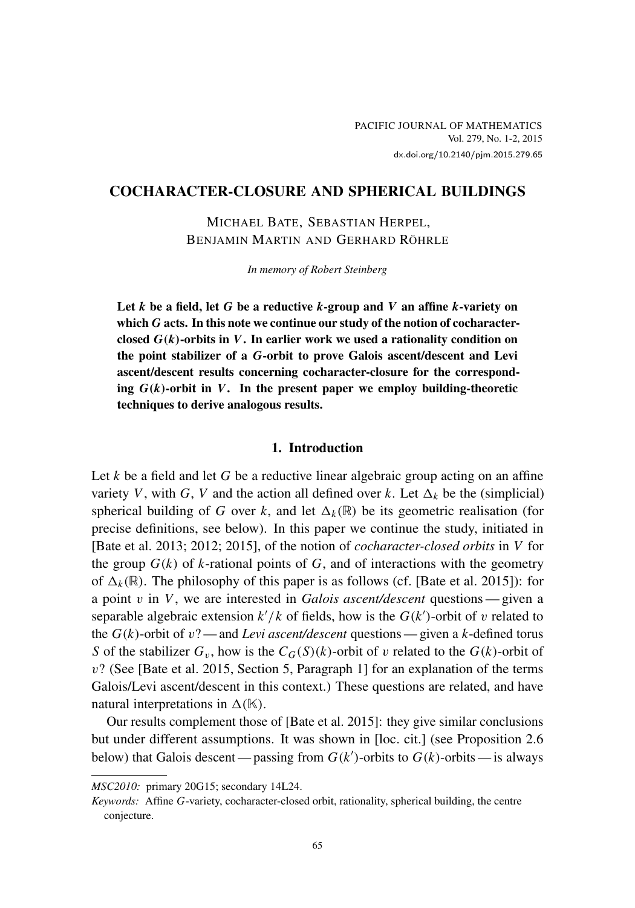# COCHARACTER-CLOSURE AND SPHERICAL BUILDINGS

MICHAEL BATE, SEBASTIAN HERPEL, BENJAMIN MARTIN AND GERHARD RÖHRLE

*In memory of Robert Steinberg*

Let *k* be a field, let *G* be a reductive *k*-group and *V* an affine *k*-variety on which *G* acts. In this note we continue our study of the notion of cocharacterclosed *G*(*k*)-orbits in *V*. In earlier work we used a rationality condition on the point stabilizer of a *G*-orbit to prove Galois ascent/descent and Levi ascent/descent results concerning cocharacter-closure for the corresponding  $G(k)$ -orbit in *V*. In the present paper we employ building-theoretic techniques to derive analogous results.

### 1. Introduction

Let *k* be a field and let *G* be a reductive linear algebraic group acting on an affine variety *V*, with *G*, *V* and the action all defined over *k*. Let  $\Delta_k$  be the (simplicial) spherical building of *G* over *k*, and let  $\Delta_k(\mathbb{R})$  be its geometric realisation (for precise definitions, see below). In this paper we continue the study, initiated in [\[Bate et al. 2013;](#page-21-0) [2012;](#page-21-1) [2015\]](#page-21-2), of the notion of *cocharacter-closed orbits* in *V* for the group  $G(k)$  of *k*-rational points of  $G$ , and of interactions with the geometry of  $\Delta_k(\mathbb{R})$ . The philosophy of this paper is as follows (cf. [\[Bate et al. 2015\]](#page-21-2)): for a point v in *V*, we are interested in *Galois ascent/descent* questions— given a separable algebraic extension  $k'/k$  of fields, how is the  $G(k')$ -orbit of v related to the  $G(k)$ -orbit of  $v$ ? — and *Levi ascent/descent* questions — given a *k*-defined torus *S* of the stabilizer  $G_v$ , how is the  $C_G(S)(k)$ -orbit of v related to the  $G(k)$ -orbit of v? (See [\[Bate et al. 2015,](#page-21-2) Section 5, Paragraph 1] for an explanation of the terms Galois/Levi ascent/descent in this context.) These questions are related, and have natural interpretations in  $\Delta(K)$ .

Our results complement those of [\[Bate et al. 2015\]](#page-21-2): they give similar conclusions but under different assumptions. It was shown in [\[loc. cit.\]](#page-21-2) (see [Proposition 2.6](#page-8-0) below) that Galois descent — passing from  $G(k')$ -orbits to  $G(k)$ -orbits — is always

*MSC2010:* primary 20G15; secondary 14L24.

*Keywords:* Affine *G*-variety, cocharacter-closed orbit, rationality, spherical building, the centre conjecture.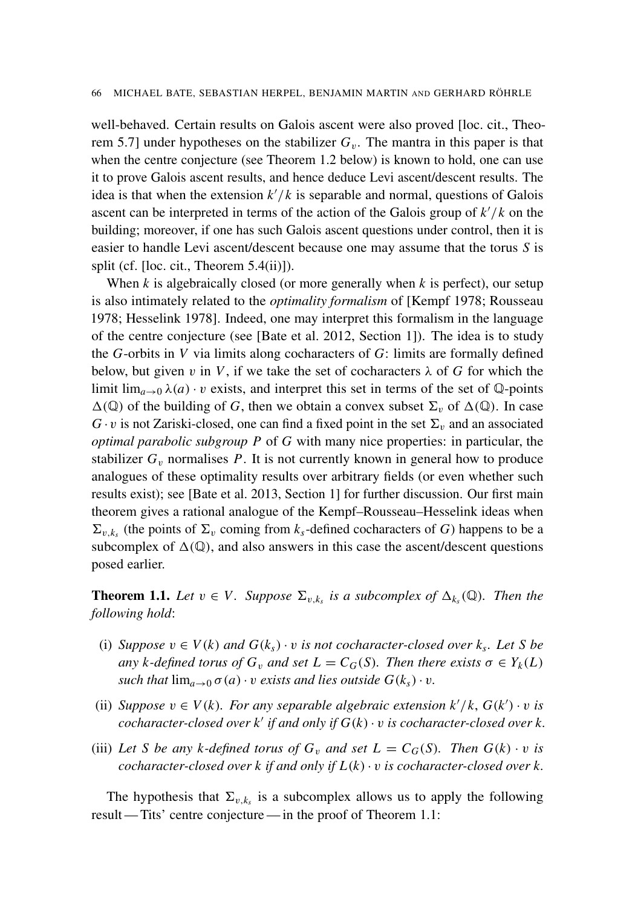well-behaved. Certain results on Galois ascent were also proved [\[loc. cit.,](#page-21-2) Theorem 5.7] under hypotheses on the stabilizer  $G_v$ . The mantra in this paper is that when the centre conjecture (see [Theorem 1.2](#page-4-0) below) is known to hold, one can use it to prove Galois ascent results, and hence deduce Levi ascent/descent results. The idea is that when the extension  $k'/k$  is separable and normal, questions of Galois ascent can be interpreted in terms of the action of the Galois group of  $k'/k$  on the building; moreover, if one has such Galois ascent questions under control, then it is easier to handle Levi ascent/descent because one may assume that the torus *S* is split (cf. [\[loc. cit.,](#page-21-2) Theorem 5.4(ii)]).

When *k* is algebraically closed (or more generally when *k* is perfect), our setup is also intimately related to the *optimality formalism* of [\[Kempf 1978;](#page-21-3) [Rousseau](#page-22-0) [1978;](#page-22-0) [Hesselink 1978\]](#page-21-4). Indeed, one may interpret this formalism in the language of the centre conjecture (see [\[Bate et al. 2012,](#page-21-1) Section 1]). The idea is to study the *G*-orbits in *V* via limits along cocharacters of *G*: limits are formally defined below, but given v in V, if we take the set of cocharacters  $\lambda$  of G for which the limit  $\lim_{a\to 0} \lambda(a) \cdot v$  exists, and interpret this set in terms of the set of Q-points  $\Delta(\mathbb{Q})$  of the building of *G*, then we obtain a convex subset  $\Sigma_v$  of  $\Delta(\mathbb{Q})$ . In case  $G \cdot v$  is not Zariski-closed, one can find a fixed point in the set  $\Sigma_v$  and an associated *optimal parabolic subgroup P* of *G* with many nice properties: in particular, the stabilizer  $G_v$  normalises  $P$ . It is not currently known in general how to produce analogues of these optimality results over arbitrary fields (or even whether such results exist); see [\[Bate et al. 2013,](#page-21-0) Section 1] for further discussion. Our first main theorem gives a rational analogue of the Kempf–Rousseau–Hesselink ideas when  $\Sigma_{v,k_s}$  (the points of  $\Sigma_v$  coming from  $k_s$ -defined cocharacters of *G*) happens to be a subcomplex of  $\Delta(\mathbb{Q})$ , and also answers in this case the ascent/descent questions posed earlier.

<span id="page-3-0"></span>**Theorem 1.1.** Let  $v \in V$ . Suppose  $\Sigma_{v,k_s}$  is a subcomplex of  $\Delta_{k_s}(\mathbb{Q})$ . Then the *following hold*:

- (i) *Suppose*  $v \in V(k)$  *and*  $G(k_s) \cdot v$  *is not cocharacter-closed over*  $k_s$ *. Let S be any k*-defined torus of  $G_v$  *and set*  $L = C_G(S)$ *. Then there exists*  $\sigma \in Y_k(L)$ *such that*  $\lim_{a\to 0} \sigma(a) \cdot v$  *exists and lies outside*  $G(k_s) \cdot v$ *.*
- (ii) *Suppose*  $v \in V(k)$ *. For any separable algebraic extension*  $k'/k$ *,*  $G(k') \cdot v$  *is*  $i$ *cocharacter-closed over*  $k'$  *if and only if*  $G(k) \cdot v$  *is cocharacter-closed over*  $k$ .
- (iii) Let *S* be any *k*-defined torus of  $G_v$  and set  $L = C_G(S)$ . Then  $G(k) \cdot v$  is *cocharacter-closed over k if and only if L*(*k*)· v *is cocharacter-closed over k.*

The hypothesis that  $\Sigma_{v,k_s}$  is a subcomplex allows us to apply the following result — Tits' centre conjecture — in the proof of [Theorem 1.1:](#page-3-0)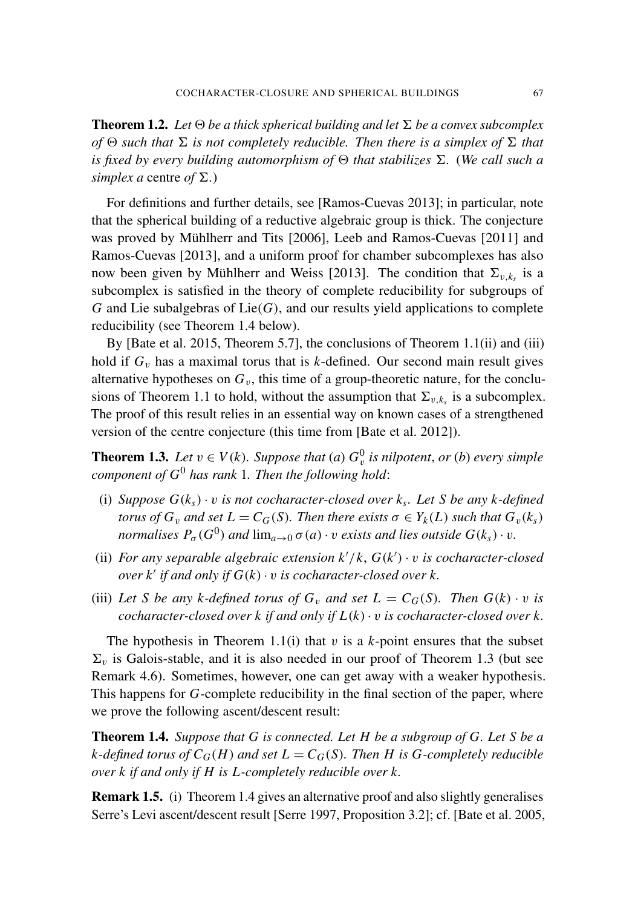<span id="page-4-0"></span>**Theorem 1.2.** Let  $\Theta$  be a thick spherical building and let  $\Sigma$  be a convex subcomplex *of*  $\Theta$  *such that*  $\Sigma$  *is not completely reducible. Then there is a simplex of*  $\Sigma$  *that is fixed by every building automorphism of*  $\Theta$  *that stabilizes*  $\Sigma$ . (*We call such a simplex a* centre *of*  $\Sigma$ .)

For definitions and further details, see [\[Ramos-Cuevas 2013\]](#page-22-1); in particular, note that the spherical building of a reductive algebraic group is thick. The conjecture was proved by Mühlherr and Tits [\[2006\]](#page-21-5), Leeb and Ramos-Cuevas [\[2011\]](#page-21-6) and Ramos-Cuevas [\[2013\]](#page-22-1), and a uniform proof for chamber subcomplexes has also now been given by Mühlherr and Weiss [\[2013\]](#page-21-7). The condition that  $\Sigma_{v,k_s}$  is a subcomplex is satisfied in the theory of complete reducibility for subgroups of  $G$  and Lie subalgebras of Lie $(G)$ , and our results yield applications to complete reducibility (see [Theorem 1.4](#page-4-1) below).

By [\[Bate et al. 2015,](#page-21-2) Theorem 5.7], the conclusions of [Theorem 1.1\(](#page-3-0)ii) and (iii) hold if  $G_v$  has a maximal torus that is  $k$ -defined. Our second main result gives alternative hypotheses on  $G_v$ , this time of a group-theoretic nature, for the conclu-sions of [Theorem 1.1](#page-3-0) to hold, without the assumption that  $\Sigma_{v,k_s}$  is a subcomplex. The proof of this result relies in an essential way on known cases of a strengthened version of the centre conjecture (this time from [\[Bate et al. 2012\]](#page-21-1)).

<span id="page-4-2"></span>**Theorem 1.3.** *Let*  $v \in V(k)$ *. Suppose that* (*a*)  $G_v^0$  *is nilpotent, or* (*b*) *every simple component of G*<sup>0</sup> *has rank* 1*. Then the following hold*:

- (i) *Suppose*  $G(k<sub>s</sub>) \cdot v$  *is not cocharacter-closed over*  $k<sub>s</sub>$ *. Let S be any*  $k$ -*defined torus of*  $G_v$  *and set*  $L = C_G(S)$ *. Then there exists*  $\sigma \in Y_k(L)$  *such that*  $G_v(k_s)$ *normalises*  $P_{\sigma}(G^0)$  *and*  $\lim_{a\to 0} \sigma(a) \cdot v$  *exists and lies outside*  $G(k_s) \cdot v$ *.*
- (ii) For any separable algebraic extension  $k'/k$ ,  $G(k') \cdot v$  is cocharacter-closed  $\omega$ *er k'* if and only if  $G(k) \cdot v$  is cocharacter-closed over k.
- (iii) Let *S* be any *k*-defined torus of  $G_v$  and set  $L = C_G(S)$ . Then  $G(k) \cdot v$  is *cocharacter-closed over k if and only if*  $L(k) \cdot v$  *is cocharacter-closed over k.*

The hypothesis in [Theorem 1.1\(](#page-3-0)i) that  $v$  is a  $k$ -point ensures that the subset  $\Sigma_v$  is Galois-stable, and it is also needed in our proof of [Theorem 1.3](#page-4-2) (but see [Remark 4.6\)](#page-19-0). Sometimes, however, one can get away with a weaker hypothesis. This happens for *G*-complete reducibility in the final section of the paper, where we prove the following ascent/descent result:

<span id="page-4-1"></span>Theorem 1.4. *Suppose that G is connected. Let H be a subgroup of G. Let S be a k*-defined torus of  $C_G(H)$  and set  $L = C_G(S)$ . Then *H* is *G*-completely reducible *over k if and only if H is L-completely reducible over k.*

Remark 1.5. (i) [Theorem 1.4](#page-4-1) gives an alternative proof and also slightly generalises Serre's Levi ascent/descent result [\[Serre 1997,](#page-22-2) Proposition 3.2]; cf. [\[Bate et al. 2005,](#page-21-8)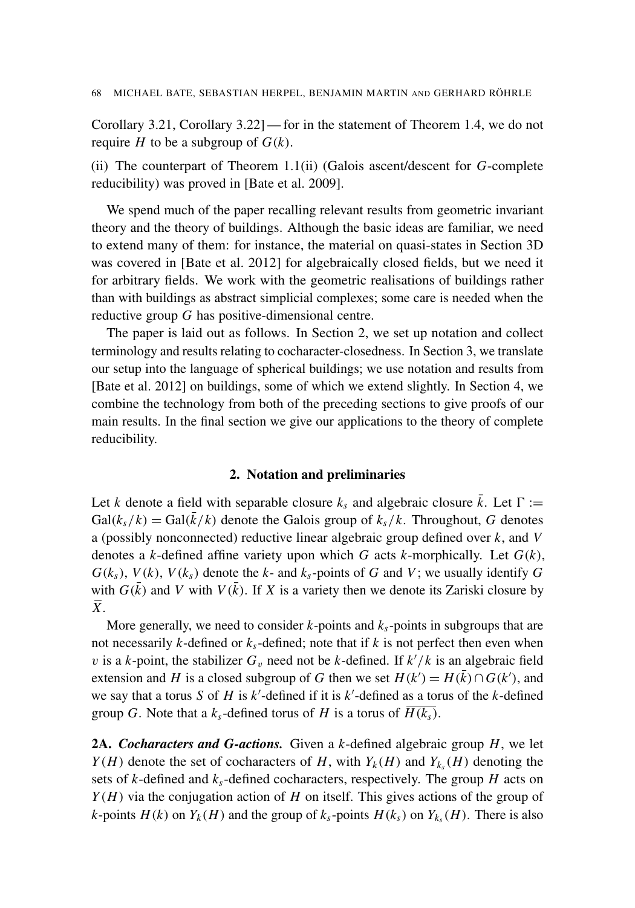Corollary 3.21, Corollary 3.22]— for in the statement of [Theorem 1.4,](#page-4-1) we do not require *H* to be a subgroup of  $G(k)$ .

(ii) The counterpart of [Theorem 1.1\(](#page-3-0)ii) (Galois ascent/descent for *G*-complete reducibility) was proved in [\[Bate et al. 2009\]](#page-21-9).

We spend much of the paper recalling relevant results from geometric invariant theory and the theory of buildings. Although the basic ideas are familiar, we need to extend many of them: for instance, the material on quasi-states in [Section 3D](#page-12-0) was covered in [\[Bate et al. 2012\]](#page-21-1) for algebraically closed fields, but we need it for arbitrary fields. We work with the geometric realisations of buildings rather than with buildings as abstract simplicial complexes; some care is needed when the reductive group *G* has positive-dimensional centre.

The paper is laid out as follows. In [Section 2,](#page-5-0) we set up notation and collect terminology and results relating to cocharacter-closedness. In [Section 3,](#page-8-1) we translate our setup into the language of spherical buildings; we use notation and results from [\[Bate et al. 2012\]](#page-21-1) on buildings, some of which we extend slightly. In [Section 4,](#page-14-0) we combine the technology from both of the preceding sections to give proofs of our main results. In the final section we give our applications to the theory of complete reducibility.

### 2. Notation and preliminaries

<span id="page-5-0"></span>Let *k* denote a field with separable closure  $k_s$  and algebraic closure  $\bar{k}$ . Let  $\Gamma :=$  $Gal(k<sub>s</sub>/k) = Gal(\bar{k}/k)$  denote the Galois group of  $k<sub>s</sub>/k$ . Throughout, *G* denotes a (possibly nonconnected) reductive linear algebraic group defined over *k*, and *V* denotes a *k*-defined affine variety upon which *G* acts *k*-morphically. Let *G*(*k*),  $G(k_s)$ ,  $V(k)$ ,  $V(k_s)$  denote the  $k$ - and  $k_s$ -points of  $G$  and  $V$ ; we usually identify  $G$ with  $G(\bar{k})$  and *V* with  $V(\bar{k})$ . If *X* is a variety then we denote its Zariski closure by *X*.

More generally, we need to consider  $k$ -points and  $k_s$ -points in subgroups that are not necessarily *k*-defined or  $k<sub>s</sub>$ -defined; note that if *k* is not perfect then even when v is a *k*-point, the stabilizer  $G_v$  need not be *k*-defined. If  $k'/k$  is an algebraic field extension and *H* is a closed subgroup of *G* then we set  $H(k') = H(\bar{k}) \cap G(k')$ , and we say that a torus *S* of *H* is  $k'$ -defined if it is  $k'$ -defined as a torus of the  $k$ -defined group *G*. Note that a  $k_s$ -defined torus of *H* is a torus of  $H(k_s)$ .

2A. *Cocharacters and G-actions.* Given a *k*-defined algebraic group *H*, we let *Y*(*H*) denote the set of cocharacters of *H*, with  $Y_k(H)$  and  $Y_{k_s}(H)$  denoting the sets of *k*-defined and *ks*-defined cocharacters, respectively. The group *H* acts on *Y*(*H*) via the conjugation action of *H* on itself. This gives actions of the group of *k*-points *H*(*k*) on *Y*<sub>*k*</sub>(*H*) and the group of  $k_s$ -points *H*( $k_s$ ) on *Y*<sub>*k*<sub>s</sub></sub>(*H*). There is also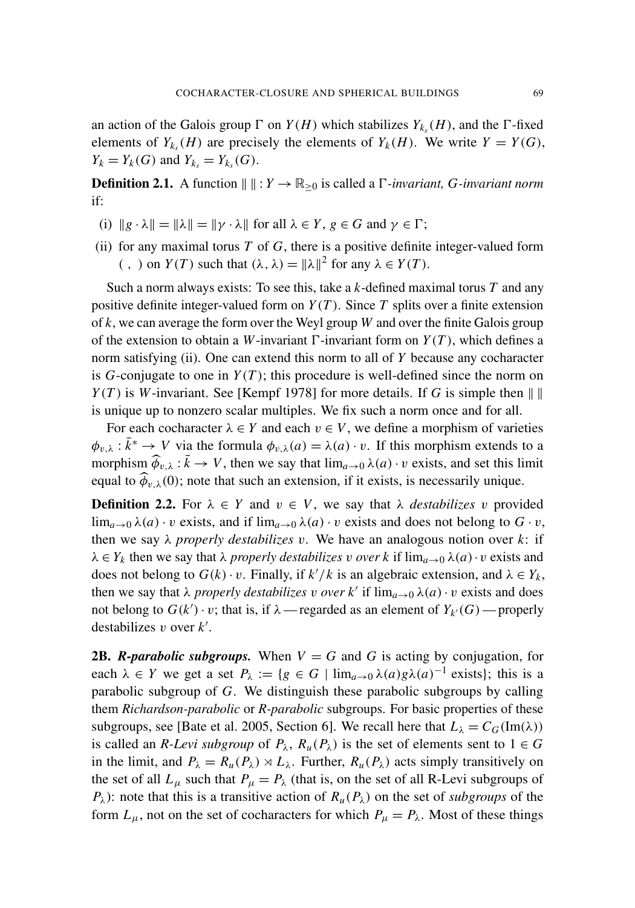an action of the Galois group  $\Gamma$  on  $Y(H)$  which stabilizes  $Y_{k_s}(H)$ , and the  $\Gamma$ -fixed elements of  $Y_{k_s}(H)$  are precisely the elements of  $Y_k(H)$ . We write  $Y = Y(G)$ , *Y*<sub>*k*</sub> = *Y*<sub>*k*</sub> (*G*) and *Y*<sub>*k*<sub>*s*</sub></sub> = *Y*<sub>*k*<sub>*s*</sub></sub> (*G*).

**Definition 2.1.** A function  $\| \cdot \| : Y \to \mathbb{R}_{>0}$  is called a  $\Gamma$ -invariant, *G*-invariant norm if:

- (i)  $\|g \cdot \lambda\| = \|\lambda\| = \|\gamma \cdot \lambda\|$  for all  $\lambda \in Y, g \in G$  and  $\gamma \in \Gamma$ ;
- (ii) for any maximal torus  $T$  of  $G$ , there is a positive definite integer-valued form (,) on  $Y(T)$  such that  $(\lambda, \lambda) = ||\lambda||^2$  for any  $\lambda \in Y(T)$ .

Such a norm always exists: To see this, take a *k*-defined maximal torus *T* and any positive definite integer-valued form on  $Y(T)$ . Since T splits over a finite extension of *k*, we can average the form over the Weyl group *W* and over the finite Galois group of the extension to obtain a *W*-invariant  $\Gamma$ -invariant form on  $Y(T)$ , which defines a norm satisfying (ii). One can extend this norm to all of *Y* because any cocharacter is  $G$ -conjugate to one in  $Y(T)$ ; this procedure is well-defined since the norm on *Y*(*T*) is *W*-invariant. See [\[Kempf 1978\]](#page-21-3) for more details. If *G* is simple then  $\| \ \|$ is unique up to nonzero scalar multiples. We fix such a norm once and for all.

For each cocharacter  $\lambda \in Y$  and each  $v \in V$ , we define a morphism of varieties  $\phi_{v,\lambda}: \bar{k}^* \to V$  via the formula  $\phi_{v,\lambda}(a) = \lambda(a) \cdot v$ . If this morphism extends to a morphism  $\widehat{\phi}_{v,\lambda} : \bar{k} \to V$ , then we say that  $\lim_{a \to 0} \lambda(a) \cdot v$  exists, and set this limit equal to  $\widehat{\phi}_{v,\lambda}(0)$ ; note that such an extension, if it exists, is necessarily unique.

**Definition 2.2.** For  $\lambda \in Y$  and  $v \in V$ , we say that  $\lambda$  *destabilizes* v provided  $\lim_{a\to 0} \lambda(a) \cdot v$  exists, and if  $\lim_{a\to 0} \lambda(a) \cdot v$  exists and does not belong to  $G \cdot v$ , then we say  $\lambda$  *properly destabilizes* v. We have an analogous notion over  $k$ : if  $\lambda \in Y_k$  then we say that  $\lambda$  *properly destabilizes* v *over* k if  $\lim_{a\to 0} \lambda(a) \cdot v$  exists and does not belong to  $G(k) \cdot v$ . Finally, if  $k'/k$  is an algebraic extension, and  $\lambda \in Y_k$ , then we say that  $\lambda$  *properly destabilizes* v *over*  $k'$  if  $\lim_{a\to 0} \lambda(a) \cdot v$  exists and does not belong to  $G(k') \cdot v$ ; that is, if  $\lambda$  — regarded as an element of  $Y_{k'}(G)$  — properly destabilizes  $v$  over  $k'$ .

**2B.** *R*-parabolic subgroups. When  $V = G$  and G is acting by conjugation, for each  $\lambda \in Y$  we get a set  $P_{\lambda} := \{g \in G \mid \lim_{a \to 0} \lambda(a)g\lambda(a)^{-1}$  exists}; this is a parabolic subgroup of *G*. We distinguish these parabolic subgroups by calling them *Richardson-parabolic* or *R-parabolic* subgroups. For basic properties of these subgroups, see [\[Bate et al. 2005,](#page-21-8) Section 6]. We recall here that  $L_{\lambda} = C_G(\text{Im}(\lambda))$ is called an *R-Levi subgroup* of  $P_\lambda$ ,  $R_u(P_\lambda)$  is the set of elements sent to  $1 \in G$ in the limit, and  $P_{\lambda} = R_{\mu}(P_{\lambda}) \rtimes L_{\lambda}$ . Further,  $R_{\mu}(P_{\lambda})$  acts simply transitively on the set of all  $L_{\mu}$  such that  $P_{\mu} = P_{\lambda}$  (that is, on the set of all R-Levi subgroups of *P*<sub> $\lambda$ </sub>): note that this is a transitive action of  $R_u(P_\lambda)$  on the set of *subgroups* of the form  $L_{\mu}$ , not on the set of cocharacters for which  $P_{\mu} = P_{\lambda}$ . Most of these things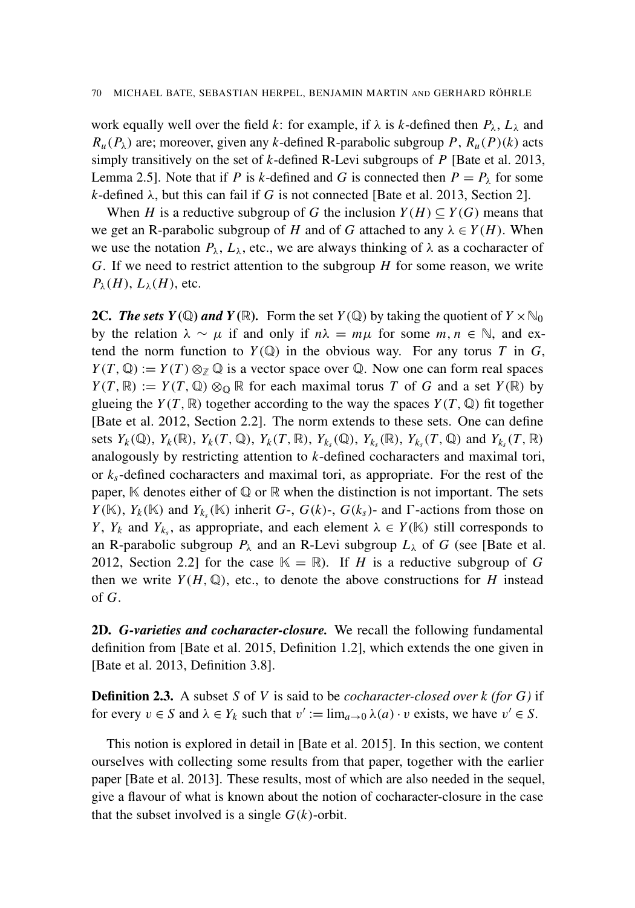work equally well over the field *k*: for example, if  $\lambda$  is *k*-defined then  $P_{\lambda}$ ,  $L_{\lambda}$  and  $R_u(P_\lambda)$  are; moreover, given any *k*-defined R-parabolic subgroup *P*,  $R_u(P)(k)$  acts simply transitively on the set of *k*-defined R-Levi subgroups of *P* [\[Bate et al. 2013,](#page-21-0) Lemma 2.5]. Note that if *P* is *k*-defined and *G* is connected then  $P = P_\lambda$  for some  $k$ -defined  $\lambda$ , but this can fail if *G* is not connected [\[Bate et al. 2013,](#page-21-0) Section 2].

When *H* is a reductive subgroup of *G* the inclusion  $Y(H) \subseteq Y(G)$  means that we get an R-parabolic subgroup of *H* and of *G* attached to any  $\lambda \in Y(H)$ . When we use the notation  $P_{\lambda}$ ,  $L_{\lambda}$ , etc., we are always thinking of  $\lambda$  as a cocharacter of *G*. If we need to restrict attention to the subgroup *H* for some reason, we write  $P_{\lambda}(H)$ ,  $L_{\lambda}(H)$ , etc.

<span id="page-7-0"></span>**2C.** The sets  $Y(\mathbb{Q})$  and  $Y(\mathbb{R})$ . Form the set  $Y(\mathbb{Q})$  by taking the quotient of  $Y \times \mathbb{N}_0$ by the relation  $\lambda \sim \mu$  if and only if  $n\lambda = m\mu$  for some  $m, n \in \mathbb{N}$ , and extend the norm function to  $Y(\mathbb{Q})$  in the obvious way. For any torus *T* in *G*,  $Y(T, \mathbb{Q}) := Y(T) \otimes_{\mathbb{Z}} \mathbb{Q}$  is a vector space over  $\mathbb{Q}$ . Now one can form real spaces  $Y(T, \mathbb{R}) := Y(T, \mathbb{Q}) \otimes_{\mathbb{Q}} \mathbb{R}$  for each maximal torus *T* of *G* and a set  $Y(\mathbb{R})$  by glueing the  $Y(T, \mathbb{R})$  together according to the way the spaces  $Y(T, \mathbb{Q})$  fit together [\[Bate et al. 2012,](#page-21-1) Section 2.2]. The norm extends to these sets. One can define sets  $Y_k(\mathbb{Q})$ ,  $Y_k(\mathbb{R})$ ,  $Y_k(T, \mathbb{Q})$ ,  $Y_k(T, \mathbb{R})$ ,  $Y_{k_s}(\mathbb{Q})$ ,  $Y_{k_s}(\mathbb{R})$ ,  $Y_{k_s}(T, \mathbb{Q})$  and  $Y_{k_s}(T, \mathbb{R})$ analogously by restricting attention to *k*-defined cocharacters and maximal tori, or *ks*-defined cocharacters and maximal tori, as appropriate. For the rest of the paper,  $K$  denotes either of  $\mathbb Q$  or  $\mathbb R$  when the distinction is not important. The sets *Y*( $\mathbb{K}$ ), *Y<sub>k</sub>*( $\mathbb{K}$ ) and *Y<sub>k<sub>s</sub>*</sub>( $\mathbb{K}$ ) inherit *G*-, *G*( $k$ )-, *G*( $k_s$ )- and *Γ*-actions from those on *Y*,  $Y_k$  and  $Y_{k_s}$ , as appropriate, and each element  $\lambda \in Y(\mathbb{K})$  still corresponds to an R-parabolic subgroup  $P_\lambda$  and an R-Levi subgroup  $L_\lambda$  of *G* (see [\[Bate et al.](#page-21-1) [2012,](#page-21-1) Section 2.2] for the case  $K = \mathbb{R}$ . If *H* is a reductive subgroup of *G* then we write  $Y(H, \mathbb{Q})$ , etc., to denote the above constructions for *H* instead of *G*.

2D. *G-varieties and cocharacter-closure.* We recall the following fundamental definition from [\[Bate et al. 2015,](#page-21-2) Definition 1.2], which extends the one given in [\[Bate et al. 2013,](#page-21-0) Definition 3.8].

Definition 2.3. A subset *S* of *V* is said to be *cocharacter-closed over k (for G)* if for every  $v \in S$  and  $\lambda \in Y_k$  such that  $v' := \lim_{a \to 0} \lambda(a) \cdot v$  exists, we have  $v' \in S$ .

This notion is explored in detail in [\[Bate et al. 2015\]](#page-21-2). In this section, we content ourselves with collecting some results from that paper, together with the earlier paper [\[Bate et al. 2013\]](#page-21-0). These results, most of which are also needed in the sequel, give a flavour of what is known about the notion of cocharacter-closure in the case that the subset involved is a single  $G(k)$ -orbit.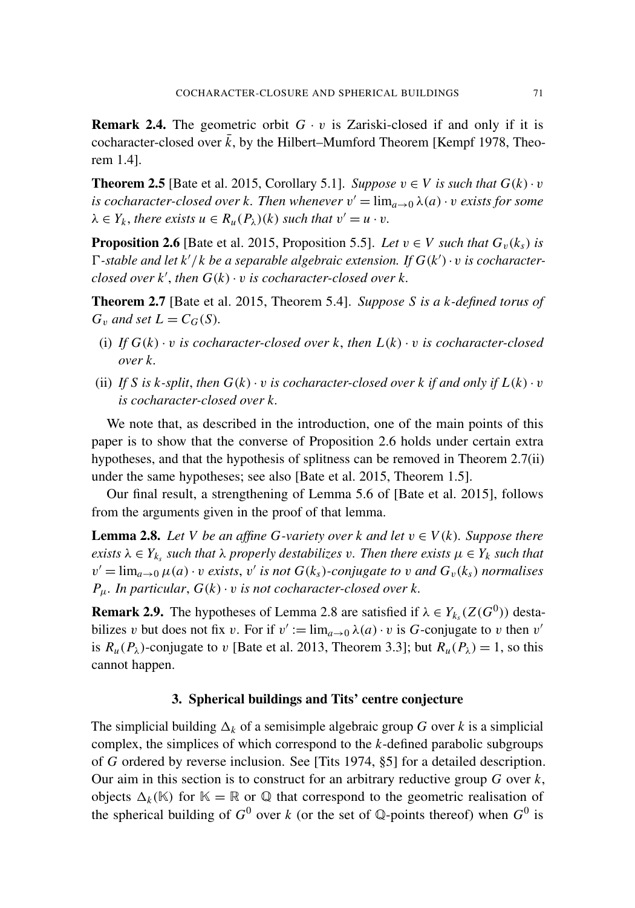<span id="page-8-5"></span>**Remark 2.4.** The geometric orbit  $G \cdot v$  is Zariski-closed if and only if it is cocharacter-closed over  $\bar{k}$ , by the Hilbert–Mumford Theorem [\[Kempf 1978,](#page-21-3) Theorem 1.4].

<span id="page-8-4"></span>**Theorem 2.5** [\[Bate et al. 2015,](#page-21-2) Corollary 5.1]. *Suppose*  $v \in V$  *is such that*  $G(k) \cdot v$ *is cocharacter-closed over k. Then whenever*  $v' = \lim_{a \to 0} \lambda(a) \cdot v$  *exists for some*  $\lambda \in Y_k$ , there exists  $u \in R_u(P_\lambda)(k)$  such that  $v' = u \cdot v$ .

<span id="page-8-0"></span>**Proposition 2.6** [\[Bate et al. 2015,](#page-21-2) Proposition 5.5]. Let  $v \in V$  *such that*  $G_v(k_s)$  *is*  $\Gamma$ -stable and let  $k'/k$  be a separable algebraic extension. If  $G(k') \cdot v$  is cocharacter- $\alpha$ *closed over k'*, *then*  $G(k) \cdot v$  *is cocharacter-closed over k.* 

<span id="page-8-2"></span>Theorem 2.7 [\[Bate et al. 2015,](#page-21-2) Theorem 5.4]. *Suppose S is a k-defined torus of*  $G_v$  *and set*  $L = C_G(S)$ *.* 

- (i) If  $G(k) \cdot v$  is cocharacter-closed over k, then  $L(k) \cdot v$  is cocharacter-closed *over k.*
- (ii) If *S* is *k*-split, then  $G(k) \cdot v$  is cocharacter-closed over *k* if and only if  $L(k) \cdot v$ *is cocharacter-closed over k.*

We note that, as described in the introduction, one of the main points of this paper is to show that the converse of [Proposition 2.6](#page-8-0) holds under certain extra hypotheses, and that the hypothesis of splitness can be removed in [Theorem 2.7\(](#page-8-2)ii) under the same hypotheses; see also [\[Bate et al. 2015,](#page-21-2) Theorem 1.5].

Our final result, a strengthening of Lemma 5.6 of [\[Bate et al. 2015\]](#page-21-2), follows from the arguments given in the proof of that lemma.

<span id="page-8-3"></span>**Lemma 2.8.** Let *V* be an affine *G*-variety over *k* and let  $v \in V(k)$ . Suppose there *exists*  $\lambda \in Y_{k_s}$  *such that*  $\lambda$  *properly destabilizes* v. Then there exists  $\mu \in Y_k$  *such that*  $v' = \lim_{a \to 0} \mu(a) \cdot v$  exists, v' is not  $G(k_s)$ -conjugate to v and  $G_v(k_s)$  normalises  $P_{\mu}$ *. In particular,*  $G(k) \cdot v$  *is not cocharacter-closed over k.* 

<span id="page-8-6"></span>**Remark 2.9.** The hypotheses of [Lemma 2.8](#page-8-3) are satisfied if  $\lambda \in Y_{k}$  ( $Z(G^0)$ ) destabilizes v but does not fix v. For if  $v' := \lim_{a \to 0} \lambda(a) \cdot v$  is *G*-conjugate to v then v' is  $R_u(P_\lambda)$ -conjugate to v [\[Bate et al. 2013,](#page-21-0) Theorem 3.3]; but  $R_u(P_\lambda) = 1$ , so this cannot happen.

# 3. Spherical buildings and Tits' centre conjecture

<span id="page-8-1"></span>The simplicial building  $\Delta_k$  of a semisimple algebraic group *G* over *k* is a simplicial complex, the simplices of which correspond to the *k*-defined parabolic subgroups of *G* ordered by reverse inclusion. See [\[Tits 1974,](#page-22-3) §5] for a detailed description. Our aim in this section is to construct for an arbitrary reductive group *G* over *k*, objects  $\Delta_k(\mathbb{K})$  for  $\mathbb{K} = \mathbb{R}$  or  $\mathbb{Q}$  that correspond to the geometric realisation of the spherical building of  $G^0$  over *k* (or the set of  $\mathbb{Q}$ -points thereof) when  $G^0$  is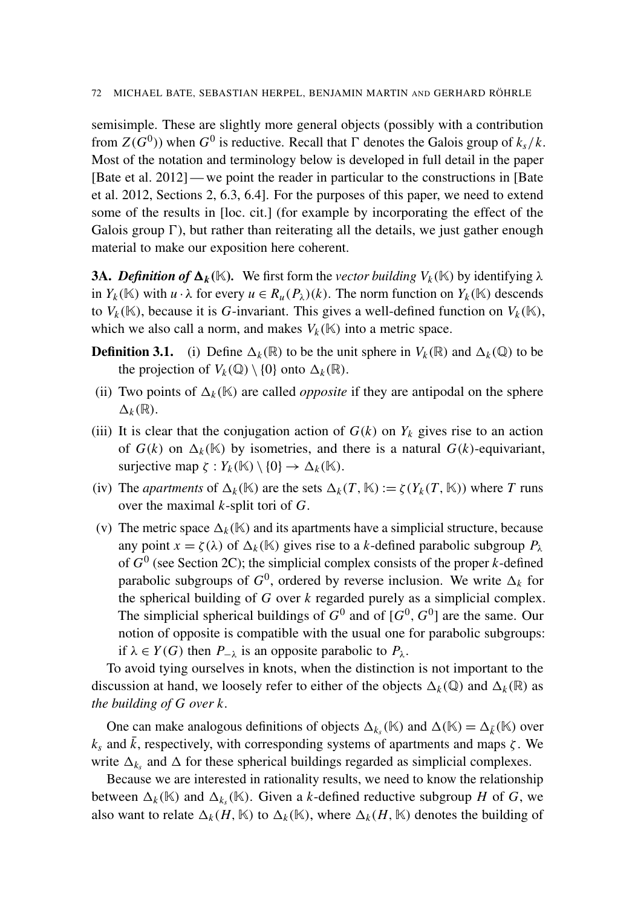semisimple. These are slightly more general objects (possibly with a contribution from  $Z(G^0)$ ) when  $G^0$  is reductive. Recall that  $\Gamma$  denotes the Galois group of  $k_s/k$ . Most of the notation and terminology below is developed in full detail in the paper [\[Bate et al. 2012\]](#page-21-1) — we point the reader in particular to the constructions in [\[Bate](#page-21-1) [et al. 2012,](#page-21-1) Sections 2, 6.3, 6.4]. For the purposes of this paper, we need to extend some of the results in [\[loc. cit.\]](#page-21-1) (for example by incorporating the effect of the Galois group  $\Gamma$ ), but rather than reiterating all the details, we just gather enough material to make our exposition here coherent.

**3A.** *Definition of*  $\Delta_k(\mathbb{K})$ . We first form the *vector building*  $V_k(\mathbb{K})$  by identifying  $\lambda$ in  $Y_k(\mathbb{K})$  with  $u \cdot \lambda$  for every  $u \in R_u(P_\lambda)(k)$ . The norm function on  $Y_k(\mathbb{K})$  descends to  $V_k(\mathbb{K})$ , because it is *G*-invariant. This gives a well-defined function on  $V_k(\mathbb{K})$ , which we also call a norm, and makes  $V_k(\mathbb{K})$  into a metric space.

- **Definition 3.1.** (i) Define  $\Delta_k(\mathbb{R})$  to be the unit sphere in  $V_k(\mathbb{R})$  and  $\Delta_k(\mathbb{Q})$  to be the projection of  $V_k(\mathbb{Q}) \setminus \{0\}$  onto  $\Delta_k(\mathbb{R})$ .
- (ii) Two points of  $\Delta_k(\mathbb{K})$  are called *opposite* if they are antipodal on the sphere  $\Delta_k(\mathbb{R})$ .
- (iii) It is clear that the conjugation action of  $G(k)$  on  $Y_k$  gives rise to an action of  $G(k)$  on  $\Delta_k(\mathbb{K})$  by isometries, and there is a natural  $G(k)$ -equivariant, surjective map  $\zeta : Y_k(\mathbb{K}) \setminus \{0\} \to \Delta_k(\mathbb{K}).$
- (iv) The *apartments* of  $\Delta_k(\mathbb{K})$  are the sets  $\Delta_k(T, \mathbb{K}) := \zeta(Y_k(T, \mathbb{K}))$  where *T* runs over the maximal *k*-split tori of *G*.
- (v) The metric space  $\Delta_k(K)$  and its apartments have a simplicial structure, because any point  $x = \zeta(\lambda)$  of  $\Delta_k(K)$  gives rise to a *k*-defined parabolic subgroup  $P_\lambda$ of  $G^0$  (see [Section 2C\)](#page-7-0); the simplicial complex consists of the proper *k*-defined parabolic subgroups of  $G^0$ , ordered by reverse inclusion. We write  $\Delta_k$  for the spherical building of *G* over *k* regarded purely as a simplicial complex. The simplicial spherical buildings of  $G^0$  and of  $[G^0, G^0]$  are the same. Our notion of opposite is compatible with the usual one for parabolic subgroups: if  $\lambda \in Y(G)$  then  $P_{-\lambda}$  is an opposite parabolic to  $P_{\lambda}$ .

To avoid tying ourselves in knots, when the distinction is not important to the discussion at hand, we loosely refer to either of the objects  $\Delta_k(\mathbb{Q})$  and  $\Delta_k(\mathbb{R})$  as *the building of G over k*.

One can make analogous definitions of objects  $\Delta_{k_s}(\mathbb{K})$  and  $\Delta(\mathbb{K}) = \Delta_{\vec{k}}(\mathbb{K})$  over  $k_s$  and  $\bar{k}$ , respectively, with corresponding systems of apartments and maps  $\zeta$ . We write  $\Delta_{k_s}$  and  $\Delta$  for these spherical buildings regarded as simplicial complexes.

Because we are interested in rationality results, we need to know the relationship between  $\Delta_k(\mathbb{K})$  and  $\Delta_{k_s}(\mathbb{K})$ . Given a *k*-defined reductive subgroup *H* of *G*, we also want to relate  $\Delta_k(H, \mathbb{K})$  to  $\Delta_k(\mathbb{K})$ , where  $\Delta_k(H, \mathbb{K})$  denotes the building of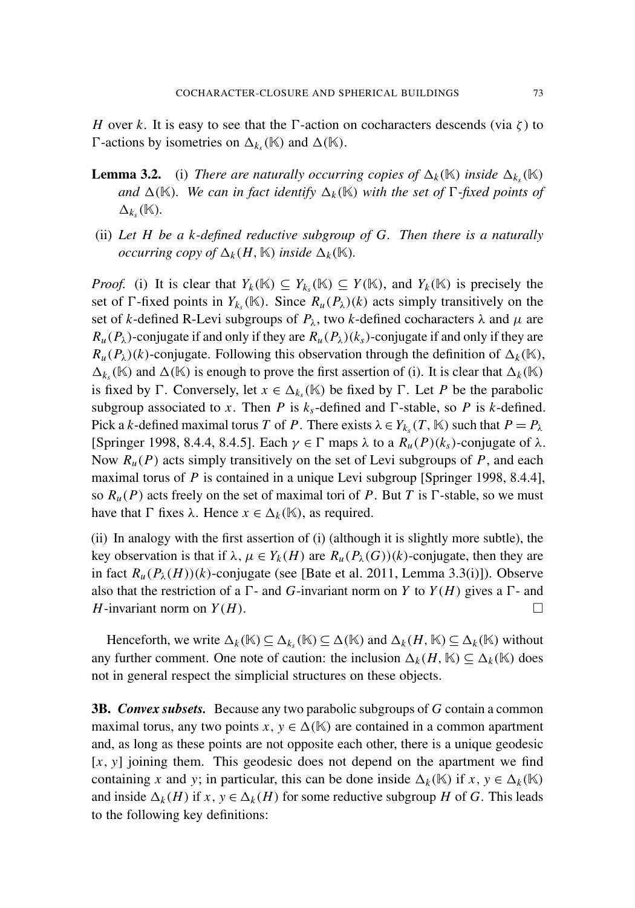*H* over *k*. It is easy to see that the  $\Gamma$ -action on cocharacters descends (via  $\zeta$ ) to  $\Gamma$ -actions by isometries on  $\Delta_{k_s}(\mathbb{K})$  and  $\Delta(\mathbb{K})$ .

- **Lemma 3.2.** (i) *There are naturally occurring copies of*  $\Delta_k(\mathbb{K})$  *inside*  $\Delta_{k}(\mathbb{K})$ *and*  $\Delta(K)$ *. We can in fact identify*  $\Delta_k(K)$  *with the set of*  $\Gamma$ *-fixed points of*  $\Delta_{k_s}(\mathbb{K})$ .
- (ii) *Let H be a k-defined reductive subgroup of G. Then there is a naturally occurring copy of*  $\Delta_k(H, \mathbb{K})$  *inside*  $\Delta_k(\mathbb{K})$ *.*

*Proof.* (i) It is clear that  $Y_k(\mathbb{K}) \subseteq Y_{k_s}(\mathbb{K}) \subseteq Y(\mathbb{K})$ , and  $Y_k(\mathbb{K})$  is precisely the set of  $\Gamma$ -fixed points in  $Y_{k_s}(\mathbb{K})$ . Since  $R_u(P_\lambda)(k)$  acts simply transitively on the set of *k*-defined R-Levi subgroups of  $P_\lambda$ , two *k*-defined cocharacters  $\lambda$  and  $\mu$  are  $R_u(P_\lambda)$ -conjugate if and only if they are  $R_u(P_\lambda)(k_s)$ -conjugate if and only if they are  $R_u(P_\lambda)(k)$ -conjugate. Following this observation through the definition of  $\Delta_k(\mathbb{K})$ ,  $\Delta_{k_s}(\mathbb{K})$  and  $\Delta(\mathbb{K})$  is enough to prove the first assertion of (i). It is clear that  $\Delta_k(\mathbb{K})$ is fixed by  $\Gamma$ . Conversely, let  $x \in \Delta_{k_s}(\mathbb{K})$  be fixed by  $\Gamma$ . Let *P* be the parabolic subgroup associated to *x*. Then *P* is  $k<sub>s</sub>$ -defined and  $\Gamma$ -stable, so *P* is *k*-defined. Pick a *k*-defined maximal torus *T* of *P*. There exists  $\lambda \in Y_{k_s}(T, \mathbb{K})$  such that  $P = P_{\lambda}$ [\[Springer 1998,](#page-22-4) 8.4.4, 8.4.5]. Each  $\gamma \in \Gamma$  maps  $\lambda$  to a  $R_u(P)(k_s)$ -conjugate of  $\lambda$ . Now  $R_u(P)$  acts simply transitively on the set of Levi subgroups of P, and each maximal torus of *P* is contained in a unique Levi subgroup [\[Springer 1998,](#page-22-4) 8.4.4], so  $R_u(P)$  acts freely on the set of maximal tori of P. But T is  $\Gamma$ -stable, so we must have that  $\Gamma$  fixes  $\lambda$ . Hence  $x \in \Delta_k(\mathbb{K})$ , as required.

(ii) In analogy with the first assertion of (i) (although it is slightly more subtle), the key observation is that if  $\lambda$ ,  $\mu \in Y_k(H)$  are  $R_u(P_\lambda(G))(k)$ -conjugate, then they are in fact  $R_u(P_\lambda(H))(k)$ -conjugate (see [\[Bate et al. 2011,](#page-21-10) Lemma 3.3(i)]). Observe also that the restriction of a  $\Gamma$ - and *G*-invariant norm on *Y* to *Y*(*H*) gives a  $\Gamma$ - and *H*-invariant norm on  $Y(H)$ .

Henceforth, we write  $\Delta_k(\mathbb{K}) \subseteq \Delta_{k_s}(\mathbb{K}) \subseteq \Delta(\mathbb{K})$  and  $\Delta_k(H, \mathbb{K}) \subseteq \Delta_k(\mathbb{K})$  without any further comment. One note of caution: the inclusion  $\Delta_k(H, \mathbb{K}) \subseteq \Delta_k(\mathbb{K})$  does not in general respect the simplicial structures on these objects.

<span id="page-10-0"></span>3B. *Convex subsets.* Because any two parabolic subgroups of *G* contain a common maximal torus, any two points  $x, y \in \Delta(\mathbb{K})$  are contained in a common apartment and, as long as these points are not opposite each other, there is a unique geodesic [*x*, *y*] joining them. This geodesic does not depend on the apartment we find containing *x* and *y*; in particular, this can be done inside  $\Delta_k(\mathbb{K})$  if  $x, y \in \Delta_k(\mathbb{K})$ and inside  $\Delta_k(H)$  if  $x, y \in \Delta_k(H)$  for some reductive subgroup *H* of *G*. This leads to the following key definitions: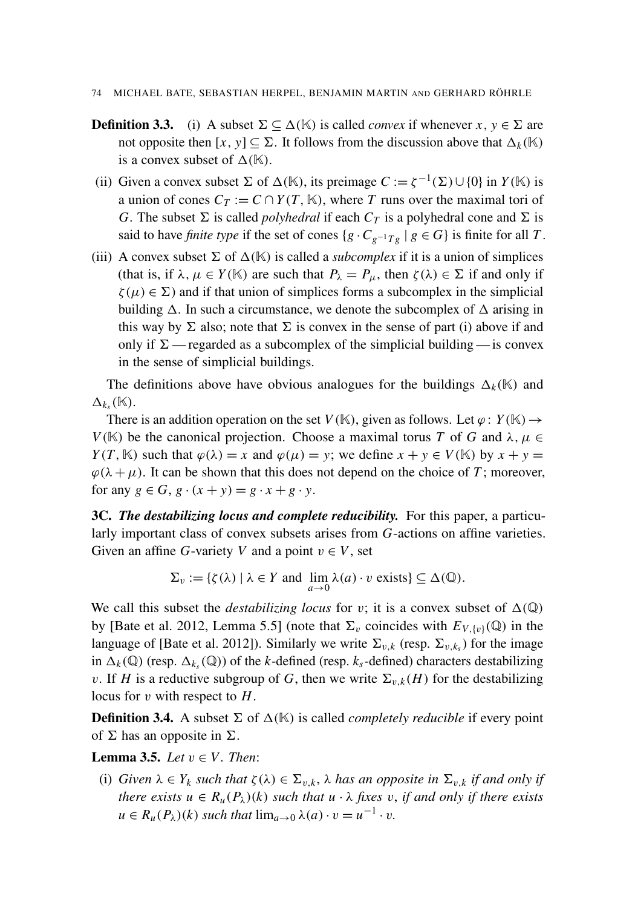- 74 MICHAEL BATE, SEBASTIAN HERPEL, BENJAMIN MARTIN AND GERHARD RÖHRLE
- **Definition 3.3.** (i) A subset  $\Sigma \subseteq \Delta(\mathbb{K})$  is called *convex* if whenever *x*,  $y \in \Sigma$  are not opposite then  $[x, y] \subseteq \Sigma$ . It follows from the discussion above that  $\Delta_k(K)$ is a convex subset of  $\Delta(\mathbb{K})$ .
- (ii) Given a convex subset  $\Sigma$  of  $\Delta(\mathbb{K})$ , its preimage  $C := \zeta^{-1}(\Sigma) \cup \{0\}$  in  $Y(\mathbb{K})$  is a union of cones  $C_T := C \cap Y(T, \mathbb{K})$ , where *T* runs over the maximal tori of *G*. The subset  $\Sigma$  is called *polyhedral* if each  $C_T$  is a polyhedral cone and  $\Sigma$  is said to have *finite type* if the set of cones  $\{g \cdot C_{g^{-1}Tg} \mid g \in G\}$  is finite for all *T*.
- (iii) A convex subset  $\Sigma$  of  $\Delta(\mathbb{K})$  is called a *subcomplex* if it is a union of simplices (that is, if  $\lambda, \mu \in Y(\mathbb{K})$  are such that  $P_{\lambda} = P_{\mu}$ , then  $\zeta(\lambda) \in \Sigma$  if and only if  $\zeta(\mu) \in \Sigma$ ) and if that union of simplices forms a subcomplex in the simplicial building  $\Delta$ . In such a circumstance, we denote the subcomplex of  $\Delta$  arising in this way by  $\Sigma$  also; note that  $\Sigma$  is convex in the sense of part (i) above if and only if  $\Sigma$  — regarded as a subcomplex of the simplicial building — is convex in the sense of simplicial buildings.

The definitions above have obvious analogues for the buildings  $\Delta_k(\mathbb{K})$  and  $\Delta_{k_s}(\mathbb{K}).$ 

There is an addition operation on the set  $V(\mathbb{K})$ , given as follows. Let  $\varphi: Y(\mathbb{K}) \to Y(\mathbb{K})$ *V*(K) be the canonical projection. Choose a maximal torus *T* of *G* and  $\lambda, \mu \in$ *Y*(*T*, K) such that  $\varphi(\lambda) = x$  and  $\varphi(\mu) = y$ ; we define  $x + y \in V(\mathbb{K})$  by  $x + y =$  $\varphi(\lambda + \mu)$ . It can be shown that this does not depend on the choice of *T*; moreover, for any  $g \in G$ ,  $g \cdot (x + y) = g \cdot x + g \cdot y$ .

3C. *The destabilizing locus and complete reducibility.* For this paper, a particularly important class of convex subsets arises from *G*-actions on affine varieties. Given an affine *G*-variety *V* and a point  $v \in V$ , set

$$
\Sigma_v := \{ \zeta(\lambda) \mid \lambda \in Y \text{ and } \lim_{a \to 0} \lambda(a) \cdot v \text{ exists} \} \subseteq \Delta(\mathbb{Q}).
$$

We call this subset the *destabilizing locus* for v; it is a convex subset of  $\Delta(\mathbb{Q})$ by [\[Bate et al. 2012,](#page-21-1) Lemma 5.5] (note that  $\Sigma_v$  coincides with  $E_{V,\{v\}}(\mathbb{Q})$  in the language of [\[Bate et al. 2012\]](#page-21-1)). Similarly we write  $\Sigma_{v,k}$  (resp.  $\Sigma_{v,k_s}$ ) for the image in  $\Delta_k(\mathbb{Q})$  (resp.  $\Delta_{k_s}(\mathbb{Q})$ ) of the *k*-defined (resp.  $k_s$ -defined) characters destabilizing v. If *H* is a reductive subgroup of *G*, then we write  $\Sigma_{v,k}(H)$  for the destabilizing locus for v with respect to *H*.

**Definition 3.4.** A subset  $\Sigma$  of  $\Delta(\mathbb{K})$  is called *completely reducible* if every point of  $\Sigma$  has an opposite in  $\Sigma$ .

<span id="page-11-0"></span>**Lemma 3.5.** *Let*  $v \in V$ *. Then:* 

(i) *Given*  $\lambda \in Y_k$  *such that*  $\zeta(\lambda) \in \Sigma_{v,k}$ ,  $\lambda$  *has an opposite in*  $\Sigma_{v,k}$  *if and only if there exists*  $u \in R_u(P_\lambda)(k)$  *such that*  $u \cdot \lambda$  *fixes*  $v$ *, if and only if there exists*  $u \in R_u(P_\lambda)(k)$  *such that*  $\lim_{a\to 0} \lambda(a) \cdot v = u^{-1} \cdot v$ *.*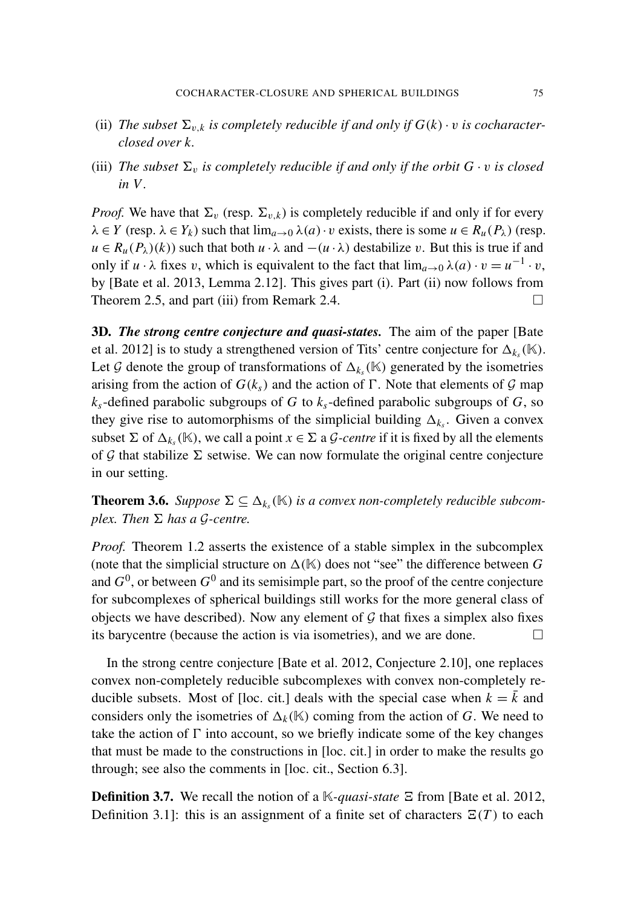- (ii) *The subset*  $\Sigma_{v,k}$  *is completely reducible if and only if*  $G(k) \cdot v$  *is cocharacterclosed over k.*
- (iii) *The subset*  $\Sigma_v$  *is completely reducible if and only if the orbit*  $G \cdot v$  *is closed in V .*

*Proof.* We have that  $\Sigma_v$  (resp.  $\Sigma_{v,k}$ ) is completely reducible if and only if for every  $\lambda \in Y$  (resp.  $\lambda \in Y_k$ ) such that  $\lim_{a\to 0} \lambda(a) \cdot v$  exists, there is some  $u \in R_u(P_\lambda)$  (resp.  $u \in R_u(P_\lambda)(k)$  such that both  $u \cdot \lambda$  and  $-(u \cdot \lambda)$  destabilize v. But this is true if and only if *u* ·  $\lambda$  fixes *v*, which is equivalent to the fact that  $\lim_{a\to 0} \lambda(a) \cdot v = u^{-1} \cdot v$ , by [\[Bate et al. 2013,](#page-21-0) Lemma 2.12]. This gives part (i). Part (ii) now follows from [Theorem 2.5,](#page-8-4) and part (iii) from [Remark 2.4.](#page-8-5)  $\Box$ 

<span id="page-12-0"></span>3D. *The strong centre conjecture and quasi-states.* The aim of the paper [\[Bate](#page-21-1) [et al. 2012\]](#page-21-1) is to study a strengthened version of Tits' centre conjecture for  $\Delta_{k_s}(\mathbb{K})$ . Let G denote the group of transformations of  $\Delta_{k_s}(\mathbb{K})$  generated by the isometries arising from the action of  $G(k<sub>s</sub>)$  and the action of  $\Gamma$ . Note that elements of  $\mathcal G$  map *ks*-defined parabolic subgroups of *G* to *ks*-defined parabolic subgroups of *G*, so they give rise to automorphisms of the simplicial building  $\Delta_{k_s}$ . Given a convex subset  $\Sigma$  of  $\Delta_{k_s}(\mathbb{K})$ , we call a point  $x \in \Sigma$  a *G-centre* if it is fixed by all the elements of G that stabilize  $\Sigma$  setwise. We can now formulate the original centre conjecture in our setting.

<span id="page-12-1"></span>**Theorem 3.6.** *Suppose*  $\Sigma \subseteq \Delta_{k_s}(\mathbb{K})$  *is a convex non-completely reducible subcomplex. Then*  $\Sigma$  *has a*  $\mathcal{G}\text{-}centre.$ 

*Proof.* [Theorem 1.2](#page-4-0) asserts the existence of a stable simplex in the subcomplex (note that the simplicial structure on  $\Delta(K)$  does not "see" the difference between G and  $G^0$ , or between  $G^0$  and its semisimple part, so the proof of the centre conjecture for subcomplexes of spherical buildings still works for the more general class of objects we have described). Now any element of  $G$  that fixes a simplex also fixes its barycentre (because the action is via isometries), and we are done.  $\Box$ 

In the strong centre conjecture [\[Bate et al. 2012,](#page-21-1) Conjecture 2.10], one replaces convex non-completely reducible subcomplexes with convex non-completely re-ducible subsets. Most of [\[loc. cit.\]](#page-21-1) deals with the special case when  $k = \overline{k}$  and considers only the isometries of  $\Delta_k(K)$  coming from the action of *G*. We need to take the action of  $\Gamma$  into account, so we briefly indicate some of the key changes that must be made to the constructions in [\[loc. cit.\]](#page-21-1) in order to make the results go through; see also the comments in [\[loc. cit.,](#page-21-1) Section 6.3].

**Definition 3.7.** We recall the notion of a K-*quasi-state*  $\Xi$  from [\[Bate et al. 2012,](#page-21-1) Definition 3.1]: this is an assignment of a finite set of characters  $\Xi(T)$  to each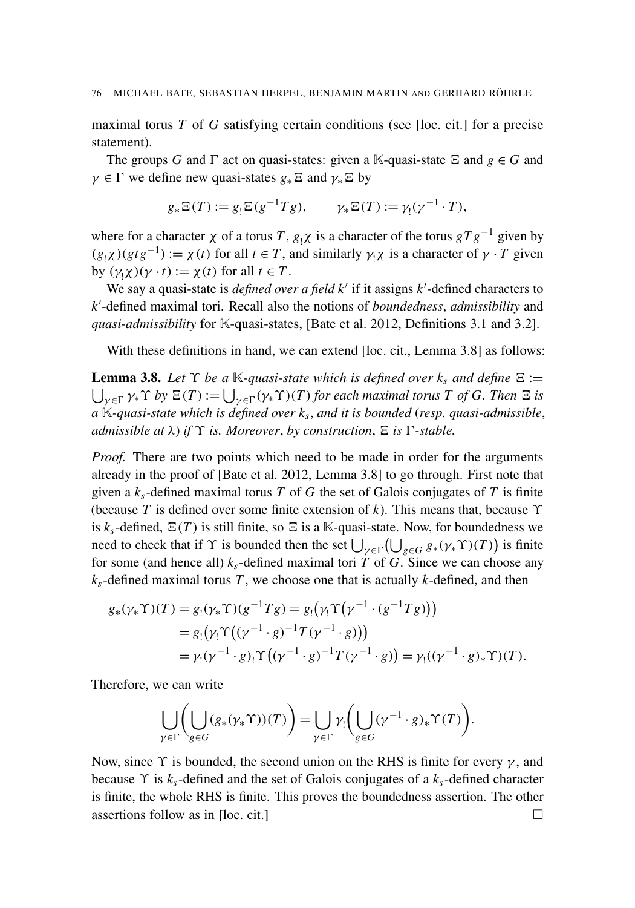maximal torus *T* of *G* satisfying certain conditions (see [\[loc. cit.\]](#page-21-1) for a precise statement).

The groups *G* and  $\Gamma$  act on quasi-states: given a K-quasi-state  $\Xi$  and  $g \in G$  and  $\gamma \in \Gamma$  we define new quasi-states  $g_* \Xi$  and  $\gamma_* \Xi$  by

$$
g_*\Xi(T) := g_!\Xi(g^{-1}Tg), \qquad \gamma_*\Xi(T) := \gamma_!(\gamma^{-1} \cdot T),
$$

where for a character  $\chi$  of a torus *T*,  $g_1\chi$  is a character of the torus  $gTg^{-1}$  given by  $(g_1 \chi)(gtg^{-1}) := \chi(t)$  for all  $t \in T$ , and similarly  $\gamma_1 \chi$  is a character of  $\gamma \cdot T$  given by  $(\gamma_1 \chi)(\gamma \cdot t) := \chi(t)$  for all  $t \in T$ .

We say a quasi-state is *defined over a field k'* if it assigns *k'*-defined characters to *k* 0 -defined maximal tori. Recall also the notions of *boundedness*, *admissibility* and *quasi-admissibility* for K-quasi-states, [\[Bate et al. 2012,](#page-21-1) Definitions 3.1 and 3.2].

With these definitions in hand, we can extend [\[loc. cit.,](#page-21-1) Lemma 3.8] as follows:

<span id="page-13-0"></span>**Lemma 3.8.** Let  $\Upsilon$  be a K-quasi-state which is defined over  $k_s$  and define  $\Xi$  :=  $\bigcup_{\gamma \in \Gamma} \gamma_* \Upsilon$  by  $\Xi(T) := \bigcup_{\gamma \in \Gamma} (\gamma_* \Upsilon)(T)$  for each maximal torus  $T$  of  $G$ . Then  $\Xi$  is *a* K*-quasi-state which is defined over k<sup>s</sup>* , *and it is bounded* (*resp. quasi-admissible*, *admissible at*  $\lambda$ ) *if*  $\Upsilon$  *is. Moreover, by construction,*  $\Xi$  *is*  $\Gamma$ -*stable.* 

*Proof.* There are two points which need to be made in order for the arguments already in the proof of [\[Bate et al. 2012,](#page-21-1) Lemma 3.8] to go through. First note that given a  $k_s$ -defined maximal torus  $T$  of  $G$  the set of Galois conjugates of  $T$  is finite (because *T* is defined over some finite extension of *k*). This means that, because ϒ is  $k_s$ -defined,  $\Xi(T)$  is still finite, so  $\Xi$  is a K-quasi-state. Now, for boundedness we need to check that if  $\Upsilon$  is bounded then the set  $\bigcup_{\gamma \in \Gamma} (\bigcup_{g \in G} g_*(\gamma_* \Upsilon)(T))$  is finite for some (and hence all)  $k<sub>s</sub>$ -defined maximal tori *T* of *G*. Since we can choose any  $k_s$ -defined maximal torus *T*, we choose one that is actually *k*-defined, and then

$$
g_*(\gamma_* \Upsilon)(T) = g_!(\gamma_* \Upsilon)(g^{-1}Tg) = g_!(\gamma_!\Upsilon(\gamma^{-1} \cdot (g^{-1}Tg)))
$$
  
=  $g_!(\gamma_!\Upsilon((\gamma^{-1} \cdot g)^{-1}T(\gamma^{-1} \cdot g)))$   
=  $\gamma_!(\gamma^{-1} \cdot g)_!\Upsilon((\gamma^{-1} \cdot g)^{-1}T(\gamma^{-1} \cdot g)) = \gamma_!((\gamma^{-1} \cdot g)_*\Upsilon)(T).$ 

Therefore, we can write

$$
\bigcup_{\gamma \in \Gamma} \left( \bigcup_{g \in G} (g_*(\gamma_* \Upsilon))(T) \right) = \bigcup_{\gamma \in \Gamma} \gamma_! \left( \bigcup_{g \in G} (\gamma^{-1} \cdot g)_* \Upsilon(T) \right).
$$

Now, since  $\Upsilon$  is bounded, the second union on the RHS is finite for every  $\gamma$ , and because ϒ is *ks*-defined and the set of Galois conjugates of a *ks*-defined character is finite, the whole RHS is finite. This proves the boundedness assertion. The other assertions follow as in [\[loc. cit.\]](#page-21-1)  $\Box$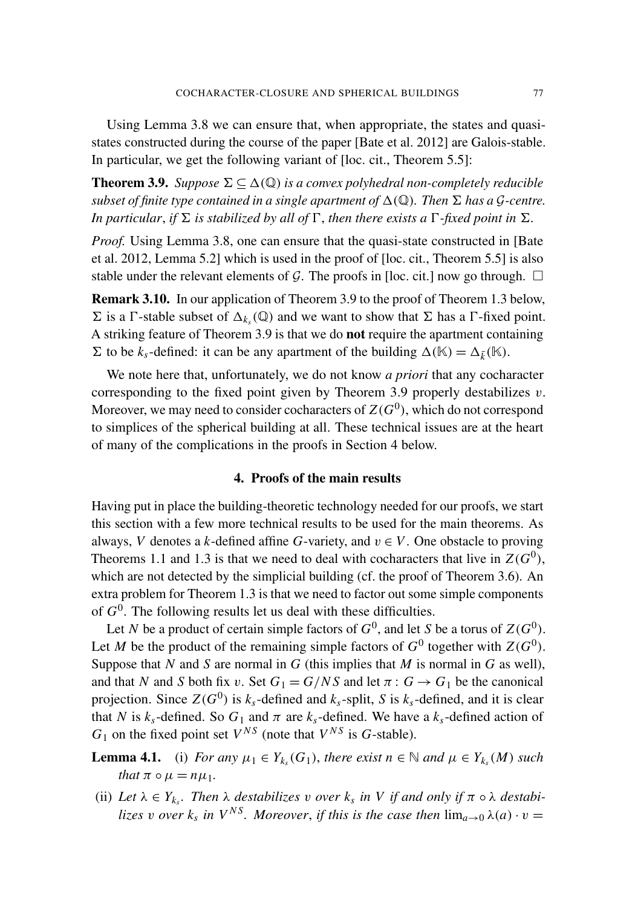Using [Lemma 3.8](#page-13-0) we can ensure that, when appropriate, the states and quasistates constructed during the course of the paper [\[Bate et al. 2012\]](#page-21-1) are Galois-stable. In particular, we get the following variant of [\[loc. cit.,](#page-21-1) Theorem 5.5]:

<span id="page-14-1"></span>**Theorem 3.9.** *Suppose*  $\Sigma \subseteq \Delta(\mathbb{Q})$  *is a convex polyhedral non-completely reducible subset of finite type contained in a single apartment of*  $\Delta(\mathbb{Q})$ *. Then*  $\Sigma$  *has a*  $\mathcal{G}$ *-centre. In particular, if*  $\Sigma$  *is stabilized by all of*  $\Gamma$ *, then there exists a*  $\Gamma$ *-fixed point in*  $\Sigma$ *.* 

*Proof.* Using [Lemma 3.8,](#page-13-0) one can ensure that the quasi-state constructed in [\[Bate](#page-21-1)] [et al. 2012,](#page-21-1) Lemma 5.2] which is used in the proof of [\[loc. cit.,](#page-21-1) Theorem 5.5] is also stable under the relevant elements of G. The proofs in [\[loc. cit.\]](#page-21-1) now go through.  $\Box$ 

Remark 3.10. In our application of [Theorem 3.9](#page-14-1) to the proof of [Theorem 1.3](#page-4-2) below,  $\Sigma$  is a  $\Gamma$ -stable subset of  $\Delta_{k_s}(\mathbb{Q})$  and we want to show that  $\Sigma$  has a  $\Gamma$ -fixed point. A striking feature of [Theorem 3.9](#page-14-1) is that we do not require the apartment containing  $\Sigma$  to be  $k_s$ -defined: it can be any apartment of the building  $\Delta(\mathbb{K}) = \Delta_{\bar{k}}(\mathbb{K})$ .

We note here that, unfortunately, we do not know *a priori* that any cocharacter corresponding to the fixed point given by [Theorem 3.9](#page-14-1) properly destabilizes  $v$ . Moreover, we may need to consider cocharacters of  $Z(G^0)$ , which do not correspond to simplices of the spherical building at all. These technical issues are at the heart of many of the complications in the proofs in [Section 4](#page-14-0) below.

# 4. Proofs of the main results

<span id="page-14-0"></span>Having put in place the building-theoretic technology needed for our proofs, we start this section with a few more technical results to be used for the main theorems. As always, *V* denotes a *k*-defined affine *G*-variety, and  $v \in V$ . One obstacle to proving Theorems [1.1](#page-3-0) and [1.3](#page-4-2) is that we need to deal with cocharacters that live in  $Z(G^0)$ , which are not detected by the simplicial building (cf. the proof of [Theorem 3.6\)](#page-12-1). An extra problem for [Theorem 1.3](#page-4-2) is that we need to factor out some simple components of  $G^0$ . The following results let us deal with these difficulties.

Let *N* be a product of certain simple factors of  $G^0$ , and let *S* be a torus of  $Z(G^0)$ . Let *M* be the product of the remaining simple factors of  $G^0$  together with  $Z(G^0)$ . Suppose that *N* and *S* are normal in *G* (this implies that *M* is normal in *G* as well), and that *N* and *S* both fix v. Set  $G_1 = G/NS$  and let  $\pi: G \rightarrow G_1$  be the canonical projection. Since  $Z(G^0)$  is  $k_s$ -defined and  $k_s$ -split, *S* is  $k_s$ -defined, and it is clear that *N* is  $k_s$ -defined. So  $G_1$  and  $\pi$  are  $k_s$ -defined. We have a  $k_s$ -defined action of  $G_1$  on the fixed point set  $V^{NS}$  (note that  $V^{NS}$  is  $G$ -stable).

<span id="page-14-2"></span>**Lemma 4.1.** (i) *For any*  $\mu_1 \in Y_{k_s}(G_1)$ *, there exist*  $n \in \mathbb{N}$  *and*  $\mu \in Y_{k_s}(M)$  *such that*  $\pi \circ \mu = n\mu_1$ .

(ii) Let  $\lambda \in Y_{k_s}$ . Then  $\lambda$  *destabilizes* v *over*  $k_s$  *in* V *if and only if*  $\pi \circ \lambda$  *destabilizes* v *over*  $k_s$  *in*  $V^{NS}$ *. Moreover, if this is the case then*  $\lim_{a\to 0} \lambda(a) \cdot v =$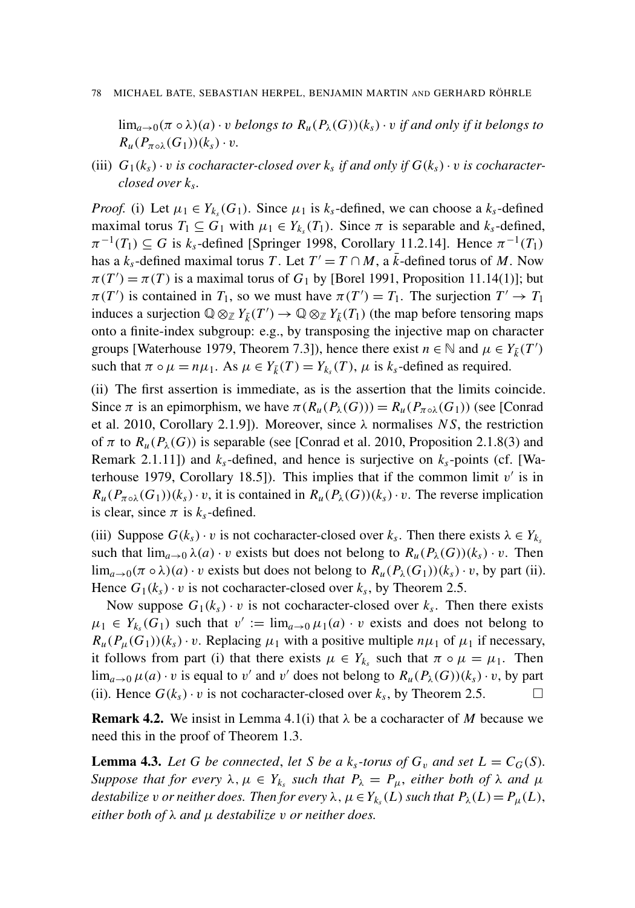#### 78 MICHAEL BATE, SEBASTIAN HERPEL, BENJAMIN MARTIN AND GERHARD RÖHRLE

lim<sub>a→0</sub>( $\pi \circ \lambda$ )(*a*) · *v belongs to*  $R_u(P_\lambda(G))(k_s)$  · *v if and only if it belongs to*  $R_u(P_{\pi\circ\lambda}(G_1))(k_s)\cdot v$ .

(iii)  $G_1(k_s) \cdot v$  *is cocharacter-closed over*  $k_s$  *if and only if*  $G(k_s) \cdot v$  *is cocharacterclosed over k<sup>s</sup> .*

*Proof.* (i) Let  $\mu_1 \in Y_{k_s}(G_1)$ . Since  $\mu_1$  is  $k_s$ -defined, we can choose a  $k_s$ -defined maximal torus  $T_1 \subseteq G_1$  with  $\mu_1 \in Y_{k_s}(T_1)$ . Since  $\pi$  is separable and  $k_s$ -defined,  $\pi^{-1}(T_1) \subseteq G$  is  $k_s$ -defined [\[Springer 1998,](#page-22-4) Corollary 11.2.14]. Hence  $\pi^{-1}(T_1)$ has a  $k_s$ -defined maximal torus *T*. Let  $T' = T \cap M$ , a  $\overline{k}$ -defined torus of *M*. Now  $\pi(T') = \pi(T)$  is a maximal torus of  $G_1$  by [\[Borel 1991,](#page-21-11) Proposition 11.14(1)]; but  $\pi(T')$  is contained in  $T_1$ , so we must have  $\pi(T') = T_1$ . The surjection  $T' \to T_1$ induces a surjection  $\mathbb{Q} \otimes_{\mathbb{Z}} Y_{\bar{k}}(T') \to \mathbb{Q} \otimes_{\mathbb{Z}} Y_{\bar{k}}(T_1)$  (the map before tensoring maps onto a finite-index subgroup: e.g., by transposing the injective map on character groups [\[Waterhouse 1979,](#page-22-5) Theorem 7.3]), hence there exist  $n \in \mathbb{N}$  and  $\mu \in Y_{\bar{k}}(T')$ such that  $\pi \circ \mu = n\mu_1$ . As  $\mu \in Y_{\bar{k}}(T) = Y_{k_s}(T)$ ,  $\mu$  is  $k_s$ -defined as required.

(ii) The first assertion is immediate, as is the assertion that the limits coincide. Since  $\pi$  is an epimorphism, we have  $\pi(R_u(P_\lambda(G))) = R_u(P_{\pi \circ \lambda}(G_1))$  (see [\[Conrad](#page-21-12)]) [et al. 2010,](#page-21-12) Corollary 2.1.9]). Moreover, since  $\lambda$  normalises *NS*, the restriction of  $\pi$  to  $R_u(P_\lambda(G))$  is separable (see [\[Conrad et al. 2010,](#page-21-12) Proposition 2.1.8(3) and Remark 2.1.11]) and  $k<sub>s</sub>$ -defined, and hence is surjective on  $k<sub>s</sub>$ -points (cf. [\[Wa](#page-22-5)[terhouse 1979,](#page-22-5) Corollary 18.5]). This implies that if the common limit  $v'$  is in  $R_u(P_{\pi\circ\lambda}(G_1))(k_s)\cdot v$ , it is contained in  $R_u(P_\lambda(G))(k_s)\cdot v$ . The reverse implication is clear, since  $\pi$  is  $k_s$ -defined.

(iii) Suppose  $G(k_s) \cdot v$  is not cocharacter-closed over  $k_s$ . Then there exists  $\lambda \in Y_{k_s}$ such that  $\lim_{a\to 0} \lambda(a) \cdot v$  exists but does not belong to  $R_u(P_\lambda(G))(k_s) \cdot v$ . Then lim<sub>a→0</sub>( $\pi \circ \lambda$ )(*a*) · *v* exists but does not belong to  $R_u(P_\lambda(G_1))(k_s) \cdot v$ , by part (ii). Hence  $G_1(k_s) \cdot v$  is not cocharacter-closed over  $k_s$ , by [Theorem 2.5.](#page-8-4)

Now suppose  $G_1(k_s) \cdot v$  is not cocharacter-closed over  $k_s$ . Then there exists  $\mu_1 \in Y_{k_s}(G_1)$  such that  $v' := \lim_{a \to 0} \mu_1(a) \cdot v$  exists and does not belong to  $R_u(P_\mu(G_1))(k_s) \cdot v$ . Replacing  $\mu_1$  with a positive multiple  $n\mu_1$  of  $\mu_1$  if necessary, it follows from part (i) that there exists  $\mu \in Y_{k_s}$  such that  $\pi \circ \mu = \mu_1$ . Then  $\lim_{a\to 0}\mu(a)\cdot v$  is equal to v' and v' does not belong to  $R_u(P_\lambda(G))(k_s)\cdot v$ , by part (ii). Hence  $G(k<sub>s</sub>) \cdot v$  is not cocharacter-closed over  $k<sub>s</sub>$ , by [Theorem 2.5.](#page-8-4)

**Remark 4.2.** We insist in [Lemma 4.1\(](#page-14-2)i) that  $\lambda$  be a cocharacter of M because we need this in the proof of [Theorem 1.3.](#page-4-2)

<span id="page-15-0"></span>**Lemma 4.3.** Let G be connected, let S be a  $k_s$ -torus of  $G_v$  and set  $L = C_G(S)$ . *Suppose that for every*  $\lambda, \mu \in Y_{k_s}$  *such that*  $P_{\lambda} = P_{\mu}$ *, either both of*  $\lambda$  *and*  $\mu$ *destabilize* v *or neither does. Then for every*  $\lambda$ ,  $\mu \in Y_{k_s}(L)$  such that  $P_\lambda(L) = P_\mu(L)$ , *either both of* λ *and* µ *destabilize* v *or neither does.*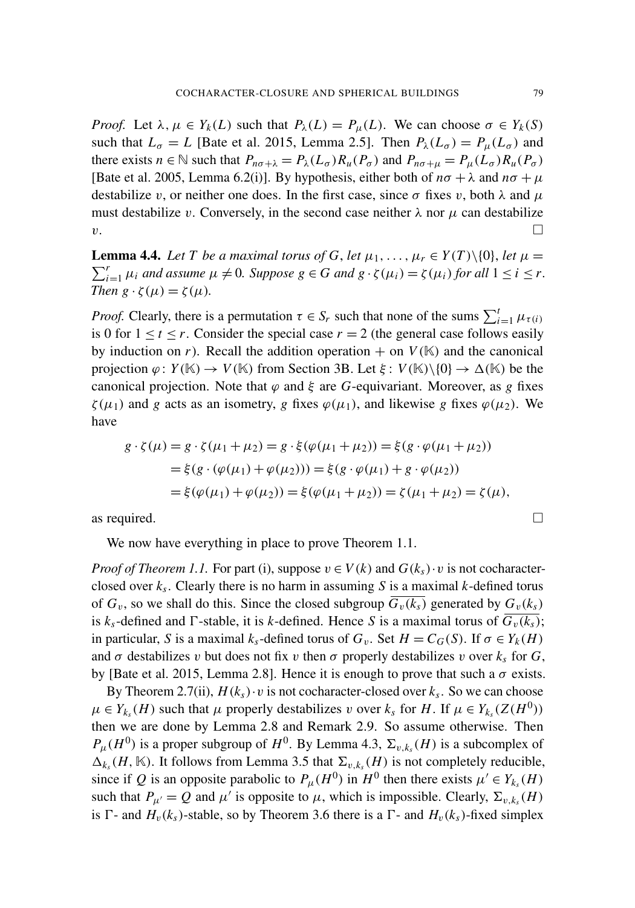*Proof.* Let  $\lambda, \mu \in Y_k(L)$  such that  $P_\lambda(L) = P_\mu(L)$ . We can choose  $\sigma \in Y_k(S)$ such that  $L_{\sigma} = L$  [\[Bate et al. 2015,](#page-21-2) Lemma 2.5]. Then  $P_{\lambda}(L_{\sigma}) = P_{\mu}(L_{\sigma})$  and there exists  $n \in \mathbb{N}$  such that  $P_{n\sigma+\lambda} = P_{\lambda}(L_{\sigma})R_{\mu}(P_{\sigma})$  and  $P_{n\sigma+\mu} = P_{\mu}(L_{\sigma})R_{\mu}(P_{\sigma})$ [\[Bate et al. 2005,](#page-21-8) Lemma 6.2(i)]. By hypothesis, either both of  $n\sigma + \lambda$  and  $n\sigma + \mu$ destabilize v, or neither one does. In the first case, since  $\sigma$  fixes v, both  $\lambda$  and  $\mu$ must destabilize v. Conversely, in the second case neither  $\lambda$  nor  $\mu$  can destabilize  $\mathbf{v}$ .

<span id="page-16-0"></span>**Lemma 4.4.** Let T be a maximal torus of G, let  $\mu_1, \ldots, \mu_r \in Y(T) \setminus \{0\}$ , let  $\mu =$  $\sum_{i=1}^{r} \mu_i$  *and assume*  $\mu \neq 0$ *. Suppose*  $g \in G$  *and*  $g \cdot \zeta(\mu_i) = \zeta(\mu_i)$  *for all*  $1 \leq i \leq r$ *. Then*  $g \cdot \zeta(\mu) = \zeta(\mu)$ .

*Proof.* Clearly, there is a permutation  $\tau \in S_r$  such that none of the sums  $\sum_{i=1}^{t} \mu_{\tau(i)}$ is 0 for  $1 \le t \le r$ . Consider the special case  $r = 2$  (the general case follows easily by induction on *r*). Recall the addition operation  $+$  on  $V(\mathbb{K})$  and the canonical projection  $\varphi: Y(\mathbb{K}) \to V(\mathbb{K})$  from [Section 3B.](#page-10-0) Let  $\xi: V(\mathbb{K})\backslash\{0\} \to \Delta(\mathbb{K})$  be the canonical projection. Note that  $\varphi$  and  $\xi$  are *G*-equivariant. Moreover, as *g* fixes  $\zeta(\mu_1)$  and *g* acts as an isometry, *g* fixes  $\varphi(\mu_1)$ , and likewise *g* fixes  $\varphi(\mu_2)$ . We have

$$
g \cdot \zeta(\mu) = g \cdot \zeta(\mu_1 + \mu_2) = g \cdot \xi(\varphi(\mu_1 + \mu_2)) = \xi(g \cdot \varphi(\mu_1 + \mu_2))
$$
  
=  $\xi(g \cdot (\varphi(\mu_1) + \varphi(\mu_2))) = \xi(g \cdot \varphi(\mu_1) + g \cdot \varphi(\mu_2))$   
=  $\xi(\varphi(\mu_1) + \varphi(\mu_2)) = \xi(\varphi(\mu_1 + \mu_2)) = \zeta(\mu_1 + \mu_2) = \zeta(\mu),$ 

as required.  $\Box$ 

We now have everything in place to prove [Theorem 1.1.](#page-3-0)

*Proof of [Theorem 1.1.](#page-3-0)* For part (i), suppose  $v \in V(k)$  and  $G(k<sub>s</sub>) \cdot v$  is not cocharacterclosed over *k<sup>s</sup>* . Clearly there is no harm in assuming *S* is a maximal *k*-defined torus of  $G_v$ , so we shall do this. Since the closed subgroup  $G_v(k_s)$  generated by  $G_v(k_s)$ is  $k_s$ -defined and  $\Gamma$ -stable, it is *k*-defined. Hence *S* is a maximal torus of  $\overline{G_v(k_s)}$ ; in particular, *S* is a maximal  $k_s$ -defined torus of  $G_v$ . Set  $H = C_G(S)$ . If  $\sigma \in Y_k(H)$ and  $\sigma$  destabilizes v but does not fix v then  $\sigma$  properly destabilizes v over  $k_s$  for  $G$ , by [\[Bate et al. 2015,](#page-21-2) Lemma 2.8]. Hence it is enough to prove that such a  $\sigma$  exists.

By [Theorem 2.7\(](#page-8-2)ii),  $H(k<sub>s</sub>) \cdot v$  is not cocharacter-closed over  $k<sub>s</sub>$ . So we can choose  $\mu \in Y_{k_s}(H)$  such that  $\mu$  properly destabilizes v over  $k_s$  for  $H$ . If  $\mu \in Y_{k_s}(Z(H^0))$ then we are done by [Lemma 2.8](#page-8-3) and [Remark 2.9.](#page-8-6) So assume otherwise. Then  $P_{\mu}(H^0)$  is a proper subgroup of  $H^0$ . By [Lemma 4.3,](#page-15-0)  $\Sigma_{v,k_s}(H)$  is a subcomplex of  $\Delta_{k_s}(H, \mathbb{K})$ . It follows from [Lemma 3.5](#page-11-0) that  $\Sigma_{v,k_s}(H)$  is not completely reducible, since if *Q* is an opposite parabolic to  $P_{\mu}(H^0)$  in  $H^0$  then there exists  $\mu' \in Y_{k_s}(H)$ such that  $P_{\mu'} = Q$  and  $\mu'$  is opposite to  $\mu$ , which is impossible. Clearly,  $\Sigma_{v,k_s}(H)$ is  $\Gamma$ - and  $H_v(k_s)$ -stable, so by [Theorem 3.6](#page-12-1) there is a  $\Gamma$ - and  $H_v(k_s)$ -fixed simplex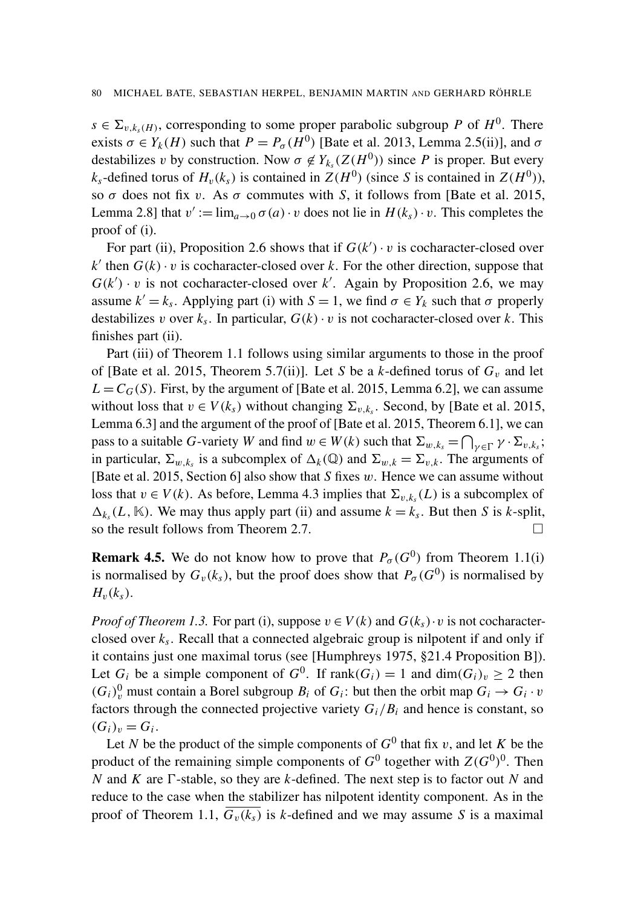$s \in \Sigma_{v,k_s(H)}$ , corresponding to some proper parabolic subgroup *P* of  $H^0$ . There exists  $\sigma \in Y_k(H)$  such that  $P = P_{\sigma}(H^0)$  [\[Bate et al. 2013,](#page-21-0) Lemma 2.5(ii)], and  $\sigma$ destabilizes v by construction. Now  $\sigma \notin Y_{k_s}(Z(H^0))$  since P is proper. But every  $k_s$ -defined torus of  $H_v(k_s)$  is contained in  $Z(H^0)$  (since *S* is contained in  $Z(H^0)$ ), so σ does not fix v. As σ commutes with *S*, it follows from [\[Bate et al. 2015,](#page-21-2) Lemma 2.8] that  $v' := \lim_{a \to 0} \sigma(a) \cdot v$  does not lie in  $H(k_s) \cdot v$ . This completes the proof of (i).

For part (ii), [Proposition 2.6](#page-8-0) shows that if  $G(k') \cdot v$  is cocharacter-closed over  $k'$  then  $G(k) \cdot v$  is cocharacter-closed over *k*. For the other direction, suppose that  $G(k') \cdot v$  is not cocharacter-closed over k'. Again by [Proposition 2.6,](#page-8-0) we may assume  $k' = k_s$ . Applying part (i) with  $S = 1$ , we find  $\sigma \in Y_k$  such that  $\sigma$  properly destabilizes v over  $k_s$ . In particular,  $G(k) \cdot v$  is not cocharacter-closed over  $k$ . This finishes part (ii).

Part (iii) of [Theorem 1.1](#page-3-0) follows using similar arguments to those in the proof of [\[Bate et al. 2015,](#page-21-2) Theorem 5.7(ii)]. Let *S* be a *k*-defined torus of  $G_v$  and let  $L = C_G(S)$ . First, by the argument of [\[Bate et al. 2015,](#page-21-2) Lemma 6.2], we can assume without loss that  $v \in V(k<sub>s</sub>)$  without changing  $\Sigma_{v,k<sub>s</sub>}$ . Second, by [\[Bate et al. 2015,](#page-21-2) Lemma 6.3] and the argument of the proof of [\[Bate et al. 2015,](#page-21-2) Theorem 6.1], we can pass to a suitable *G*-variety *W* and find  $w \in W(k)$  such that  $\Sigma_{w,k_s} = \bigcap_{\gamma \in \Gamma} \gamma \cdot \Sigma_{v,k_s}$ ; in particular,  $\Sigma_{w,k_s}$  is a subcomplex of  $\Delta_k(\mathbb{Q})$  and  $\Sigma_{w,k} = \Sigma_{v,k}$ . The arguments of [\[Bate et al. 2015,](#page-21-2) Section 6] also show that *S* fixes w. Hence we can assume without loss that  $v \in V(k)$ . As before, [Lemma 4.3](#page-15-0) implies that  $\Sigma_{v,k_s}(L)$  is a subcomplex of  $\Delta_{k_s}(L, \mathbb{K})$ . We may thus apply part (ii) and assume  $k = k_s$ . But then *S* is *k*-split, so the result follows from [Theorem 2.7.](#page-8-2)  $\Box$ 

**Remark 4.5.** We do not know how to prove that  $P_{\sigma}(G^0)$  from [Theorem 1.1\(](#page-3-0)i) is normalised by  $G_v(k_s)$ , but the proof does show that  $P_\sigma(G^0)$  is normalised by  $H<sub>v</sub>(k<sub>s</sub>)$ .

*Proof of [Theorem 1.3.](#page-4-2)* For part (i), suppose  $v \in V(k)$  and  $G(k<sub>s</sub>) \cdot v$  is not cocharacterclosed over *k<sup>s</sup>* . Recall that a connected algebraic group is nilpotent if and only if it contains just one maximal torus (see [\[Humphreys 1975,](#page-21-13) §21.4 Proposition B]). Let  $G_i$  be a simple component of  $G^0$ . If  $rank(G_i) = 1$  and  $dim(G_i)_v \ge 2$  then  $(G_i)$ <sup>0</sup>, must contain a Borel subgroup  $B_i$  of  $G_i$ : but then the orbit map  $G_i \rightarrow G_i \cdot v$ factors through the connected projective variety  $G_i/B_i$  and hence is constant, so  $(G_i)_v = G_i.$ 

Let *N* be the product of the simple components of  $G^0$  that fix v, and let *K* be the product of the remaining simple components of  $G^0$  together with  $Z(G^0)^0$ . Then *N* and *K* are  $\Gamma$ -stable, so they are *k*-defined. The next step is to factor out *N* and reduce to the case when the stabilizer has nilpotent identity component. As in the proof of [Theorem 1.1,](#page-3-0)  $G_v(k_s)$  is *k*-defined and we may assume *S* is a maximal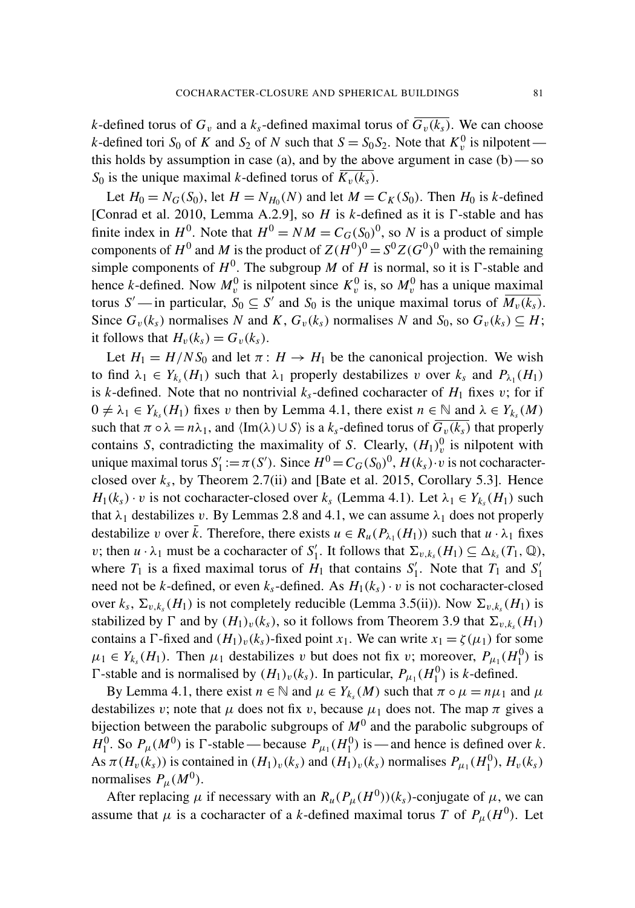*k*-defined torus of  $G_v$  and a  $k_s$ -defined maximal torus of  $\overline{G_v(k_s)}$ . We can choose *k*-defined tori *S*<sup>0</sup> of *K* and *S*<sup>2</sup> of *N* such that *S* = *S*<sup>0</sup>*S*<sub>2</sub>. Note that  $K_v^0$  is nilpotent this holds by assumption in case (a), and by the above argument in case  $(b)$ —so *S*<sup>0</sup> is the unique maximal *k*-defined torus of  $K_v(k_s)$ .

Let  $H_0 = N_G(S_0)$ , let  $H = N_{H_0}(N)$  and let  $M = C_K(S_0)$ . Then  $H_0$  is *k*-defined [\[Conrad et al. 2010,](#page-21-12) Lemma A.2.9], so  $H$  is  $k$ -defined as it is  $\Gamma$ -stable and has finite index in  $H^0$ . Note that  $H^0 = NM = C_G(S_0)^0$ , so *N* is a product of simple components of  $H^0$  and M is the product of  $Z(H^0)^0 = S^0 Z(G^0)^0$  with the remaining simple components of  $H^0$ . The subgroup *M* of *H* is normal, so it is  $\Gamma$ -stable and hence *k*-defined. Now  $M_v^0$  is nilpotent since  $K_v^0$  is, so  $M_v^0$  has a unique maximal torus *S'*—in particular,  $S_0 \subseteq S'$  and  $S_0$  is the unique maximal torus of  $\overline{M_v(k_s)}$ . Since  $G_v(k_s)$  normalises *N* and *K*,  $G_v(k_s)$  normalises *N* and  $S_0$ , so  $G_v(k_s) \subseteq H$ ; it follows that  $H_v(k_s) = G_v(k_s)$ .

Let  $H_1 = H/N S_0$  and let  $\pi : H \to H_1$  be the canonical projection. We wish to find  $\lambda_1 \in Y_{k_s}(H_1)$  such that  $\lambda_1$  properly destabilizes v over  $k_s$  and  $P_{\lambda_1}(H_1)$ is *k*-defined. Note that no nontrivial  $k_s$ -defined cocharacter of  $H_1$  fixes v; for if  $0 \neq \lambda_1 \in Y_{k_s}(H_1)$  fixes v then by [Lemma 4.1,](#page-14-2) there exist  $n \in \mathbb{N}$  and  $\lambda \in Y_{k_s}(M)$ such that  $\pi \circ \lambda = n\lambda_1$ , and  $\langle \text{Im}(\lambda) \cup S \rangle$  is a  $k_s$ -defined torus of  $G_v(k_s)$  that properly contains *S*, contradicting the maximality of *S*. Clearly,  $(H_1)_v^0$  is nilpotent with unique maximal torus S<sup>'</sup>  $H'_{1} := \pi(S')$ . Since  $H^{0} = C_{G}(S_{0})^{0}$ ,  $H(k_{s}) \cdot v$  is not cocharacterclosed over  $k_s$ , by [Theorem 2.7\(](#page-8-2)ii) and [\[Bate et al. 2015,](#page-21-2) Corollary 5.3]. Hence *H*<sub>1</sub>(*k<sub>s</sub>*) · *v* is not cocharacter-closed over *k<sub>s</sub>* [\(Lemma 4.1\)](#page-14-2). Let  $\lambda_1 \in Y_{k_s}(H_1)$  such that  $\lambda_1$  destabilizes v. By Lemmas [2.8](#page-8-3) and [4.1,](#page-14-2) we can assume  $\lambda_1$  does not properly destabilize v over  $\bar{k}$ . Therefore, there exists  $u \in R_u(P_{\lambda_1}(H_1))$  such that  $u \cdot \lambda_1$  fixes *v*; then  $u \cdot \lambda_1$  must be a cocharacter of  $S_1'$  $\mathcal{L}'_1$ . It follows that  $\Sigma_{v,k_s}(H_1) \subseteq \Delta_{k_s}(T_1,\mathbb{Q}),$ where  $T_1$  is a fixed maximal torus of  $H_1$  that contains  $S_1$ <sup>'</sup> <sup>1</sup><sub>1</sub>. Note that  $T_1$  and  $S_1'$ 1 need not be *k*-defined, or even  $k<sub>s</sub>$ -defined. As  $H<sub>1</sub>(k<sub>s</sub>) \cdot v$  is not cocharacter-closed over  $k_s$ ,  $\Sigma_{v,k_s}(H_1)$  is not completely reducible [\(Lemma 3.5\(](#page-11-0)ii)). Now  $\Sigma_{v,k_s}(H_1)$  is stabilized by  $\Gamma$  and by  $(H_1)_v(k_s)$ , so it follows from [Theorem 3.9](#page-14-1) that  $\Sigma_{v,k_s}(H_1)$ contains a  $\Gamma$ -fixed and  $(H_1)_v(k_s)$ -fixed point  $x_1$ . We can write  $x_1 = \zeta(\mu_1)$  for some  $\mu_1 \in Y_{k_s}(H_1)$ . Then  $\mu_1$  destabilizes v but does not fix v; moreover,  $P_{\mu_1}(H_1^0)$  is  $\Gamma$ -stable and is normalised by  $(H_1)_v(k_s)$ . In particular,  $P_{\mu_1}(H_1^0)$  is *k*-defined.

By [Lemma 4.1,](#page-14-2) there exist  $n \in \mathbb{N}$  and  $\mu \in Y_{k_s}(M)$  such that  $\pi \circ \mu = n\mu_1$  and  $\mu$ destabilizes v; note that  $\mu$  does not fix v, because  $\mu_1$  does not. The map  $\pi$  gives a bijection between the parabolic subgroups of  $M^0$  and the parabolic subgroups of  $H_1^0$ . So  $P_\mu(M^0)$  is  $\Gamma$ -stable—because  $P_{\mu_1}(H_1^0)$  is—and hence is defined over *k*. As  $\pi(H_v(k_s))$  is contained in  $(H_1)_v(k_s)$  and  $(H_1)_v(k_s)$  normalises  $P_{\mu_1}(H_1^0), H_v(k_s)$ normalises  $P_{\mu}(M^0)$ .

After replacing  $\mu$  if necessary with an  $R_u(P_\mu(H^0))(k_s)$ -conjugate of  $\mu$ , we can assume that  $\mu$  is a cocharacter of a *k*-defined maximal torus *T* of  $P_{\mu}(H^0)$ . Let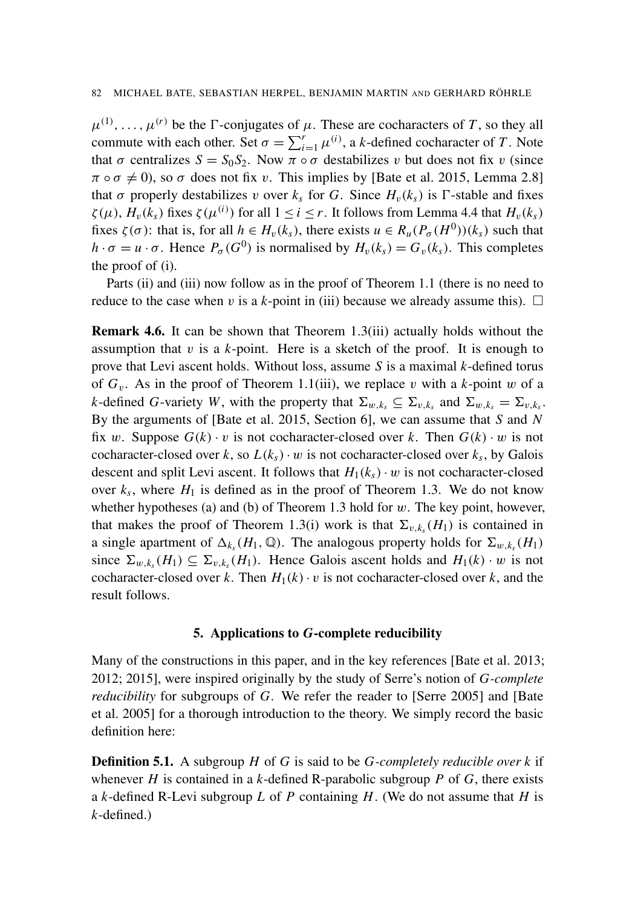$\mu^{(1)}, \ldots, \mu^{(r)}$  be the  $\Gamma$ -conjugates of  $\mu$ . These are cocharacters of T, so they all commute with each other. Set  $\sigma = \sum_{i=1}^{r} \mu^{(i)}$ , a *k*-defined cocharacter of *T*. Note that  $\sigma$  centralizes  $S = S_0 S_2$ . Now  $\pi \circ \sigma$  destabilizes v but does not fix v (since  $\pi \circ \sigma \neq 0$ ), so  $\sigma$  does not fix v. This implies by [\[Bate et al. 2015,](#page-21-2) Lemma 2.8] that  $\sigma$  properly destabilizes v over  $k_s$  for *G*. Since  $H_v(k_s)$  is  $\Gamma$ -stable and fixes  $\zeta(\mu)$ ,  $H_v(k_s)$  fixes  $\zeta(\mu^{(i)})$  for all  $1 \le i \le r$ . It follows from [Lemma 4.4](#page-16-0) that  $H_v(k_s)$ fixes  $\zeta(\sigma)$ : that is, for all  $h \in H_v(k_s)$ , there exists  $u \in R_u(P_\sigma(H^0))(k_s)$  such that  $h \cdot \sigma = u \cdot \sigma$ . Hence  $P_{\sigma}(G^0)$  is normalised by  $H_v(k_s) = G_v(k_s)$ . This completes the proof of (i).

Parts (ii) and (iii) now follow as in the proof of [Theorem 1.1](#page-3-0) (there is no need to reduce to the case when v is a *k*-point in (iii) because we already assume this).  $\Box$ 

<span id="page-19-0"></span>Remark 4.6. It can be shown that [Theorem 1.3\(](#page-4-2)iii) actually holds without the assumption that  $v$  is a  $k$ -point. Here is a sketch of the proof. It is enough to prove that Levi ascent holds. Without loss, assume *S* is a maximal *k*-defined torus of  $G_v$ . As in the proof of [Theorem 1.1\(](#page-3-0)iii), we replace v with a *k*-point w of a *k*-defined *G*-variety *W*, with the property that  $\Sigma_{w,k_s} \subseteq \Sigma_{v,k_s}$  and  $\Sigma_{w,k_s} = \Sigma_{v,k_s}$ . By the arguments of [\[Bate et al. 2015,](#page-21-2) Section 6], we can assume that *S* and *N* fix w. Suppose  $G(k) \cdot v$  is not cocharacter-closed over k. Then  $G(k) \cdot w$  is not cocharacter-closed over *k*, so  $L(k<sub>s</sub>) \cdot w$  is not cocharacter-closed over  $k<sub>s</sub>$ , by Galois descent and split Levi ascent. It follows that  $H_1(k_s) \cdot w$  is not cocharacter-closed over  $k_s$ , where  $H_1$  is defined as in the proof of [Theorem 1.3.](#page-4-2) We do not know whether hypotheses (a) and (b) of [Theorem 1.3](#page-4-2) hold for  $w$ . The key point, however, that makes the proof of [Theorem 1.3\(](#page-4-2)i) work is that  $\Sigma_{v,k_s}(H_1)$  is contained in a single apartment of  $\Delta_{k_s}(H_1, \mathbb{Q})$ . The analogous property holds for  $\Sigma_{w,k_s}(H_1)$ since  $\Sigma_{w,k_s}(H_1) \subseteq \Sigma_{v,k_s}(H_1)$ . Hence Galois ascent holds and  $H_1(k) \cdot w$  is not cocharacter-closed over *k*. Then  $H_1(k) \cdot v$  is not cocharacter-closed over *k*, and the result follows.

#### 5. Applications to *G*-complete reducibility

Many of the constructions in this paper, and in the key references [\[Bate et al. 2013;](#page-21-0) [2012;](#page-21-1) [2015\]](#page-21-2), were inspired originally by the study of Serre's notion of *G-complete reducibility* for subgroups of *G*. We refer the reader to [\[Serre 2005\]](#page-22-6) and [\[Bate](#page-21-8) [et al. 2005\]](#page-21-8) for a thorough introduction to the theory. We simply record the basic definition here:

Definition 5.1. A subgroup *H* of *G* is said to be *G-completely reducible over k* if whenever *H* is contained in a *k*-defined R-parabolic subgroup *P* of *G*, there exists a *k*-defined R-Levi subgroup *L* of *P* containing *H*. (We do not assume that *H* is *k*-defined.)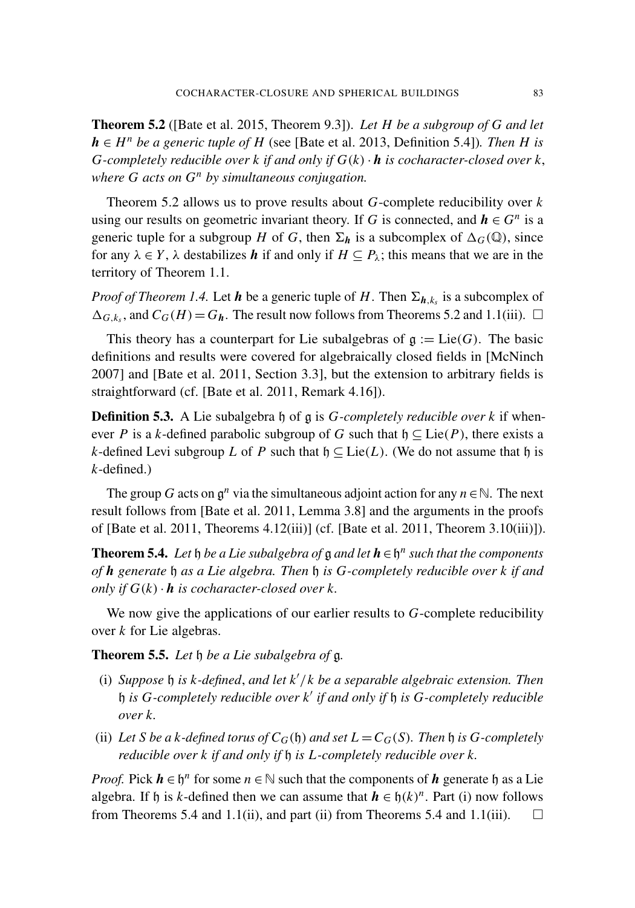<span id="page-20-0"></span>Theorem 5.2 ([\[Bate et al. 2015,](#page-21-2) Theorem 9.3]). *Let H be a subgroup of G and let h* ∈ *H*<sup>*n*</sup> *be a generic tuple of H* (see [\[Bate et al. 2013,](#page-21-0) Definition 5.4]). *Then H is G*-completely reducible over *k* if and only if  $G(k) \cdot \mathbf{h}$  is cocharacter-closed over *k*, *where G acts on G<sup>n</sup> by simultaneous conjugation.*

[Theorem 5.2](#page-20-0) allows us to prove results about *G*-complete reducibility over *k* using our results on geometric invariant theory. If *G* is connected, and  $h \in G^n$  is a generic tuple for a subgroup *H* of *G*, then  $\Sigma_h$  is a subcomplex of  $\Delta_G(\mathbb{Q})$ , since for any  $\lambda \in Y$ ,  $\lambda$  destabilizes **h** if and only if  $H \subseteq P_{\lambda}$ ; this means that we are in the territory of [Theorem 1.1.](#page-3-0)

*Proof of [Theorem 1.4.](#page-4-1)* Let  $h$  be a generic tuple of  $H$ . Then  $\Sigma_{h,k_s}$  is a subcomplex of  $\Delta_{G,k_s}$ , and  $C_G(H) = G_h$ . The result now follows from Theorems [5.2](#page-20-0) and [1.1\(](#page-3-0)iii).  $\Box$ 

This theory has a counterpart for Lie subalgebras of  $g := \text{Lie}(G)$ . The basic definitions and results were covered for algebraically closed fields in [\[McNinch](#page-21-14) [2007\]](#page-21-14) and [\[Bate et al. 2011,](#page-21-10) Section 3.3], but the extension to arbitrary fields is straightforward (cf. [\[Bate et al. 2011,](#page-21-10) Remark 4.16]).

Definition 5.3. A Lie subalgebra h of g is *G-completely reducible over k* if whenever *P* is a *k*-defined parabolic subgroup of *G* such that  $\mathfrak{h} \subseteq \text{Lie}(P)$ , there exists a *k*-defined Levi subgroup *L* of *P* such that  $\mathfrak{h} \subset \text{Lie}(L)$ . (We do not assume that  $\mathfrak{h}$  is *k*-defined.)

The group *G* acts on  $\mathfrak{g}^n$  via the simultaneous adjoint action for any  $n \in \mathbb{N}$ . The next result follows from [\[Bate et al. 2011,](#page-21-10) Lemma 3.8] and the arguments in the proofs of [\[Bate et al. 2011,](#page-21-10) Theorems 4.12(iii)] (cf. [\[Bate et al. 2011,](#page-21-10) Theorem 3.10(iii)]).

<span id="page-20-1"></span>**Theorem 5.4.** Let  $\mathfrak h$  *be a Lie subalgebra of*  $\mathfrak g$  *and let*  $\mathbf h \in \mathfrak h^n$  *such that the components of h generate* h *as a Lie algebra. Then* h *is G-completely reducible over k if and only if*  $G(k) \cdot h$  *is cocharacter-closed over k.* 

We now give the applications of our earlier results to *G*-complete reducibility over *k* for Lie algebras.

Theorem 5.5. *Let* h *be a Lie subalgebra of* g*.*

- (i) *Suppose* h *is k-defined*, *and let k* 0 /*k be a separable algebraic extension. Then* h *is G-completely reducible over k* 0 *if and only if* h *is G-completely reducible over k.*
- (ii) Let *S* be a *k*-defined torus of  $C_G(\mathfrak{h})$  and set  $L = C_G(S)$ . Then  $\mathfrak{h}$  is G-completely *reducible over k if and only if* h *is L-completely reducible over k.*

*Proof.* Pick  $h \in \mathfrak{h}^n$  for some  $n \in \mathbb{N}$  such that the components of  $h$  generate  $\mathfrak{h}$  as a Lie algebra. If h is *k*-defined then we can assume that  $h \in h(k)^n$ . Part (i) now follows from Theorems [5.4](#page-20-1) and [1.1\(](#page-3-0)ii), and part (ii) from Theorems 5.4 and 1.1(iii).  $\square$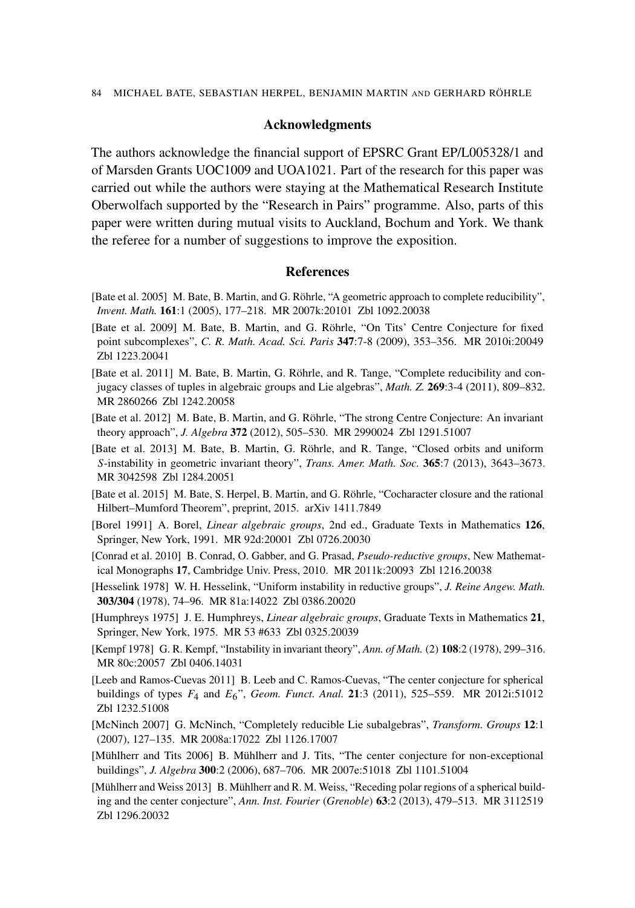### Acknowledgments

The authors acknowledge the financial support of EPSRC Grant EP/L005328/1 and of Marsden Grants UOC1009 and UOA1021. Part of the research for this paper was carried out while the authors were staying at the Mathematical Research Institute Oberwolfach supported by the "Research in Pairs" programme. Also, parts of this paper were written during mutual visits to Auckland, Bochum and York. We thank the referee for a number of suggestions to improve the exposition.

# References

- <span id="page-21-8"></span>[Bate et al. 2005] M. Bate, B. Martin, and G. Röhrle, ["A geometric approach to complete reducibility",](http://dx.doi.org/10.1007/s00222-004-0425-9) *Invent. Math.* 161:1 (2005), 177–218. [MR 2007k:20101](http://msp.org/idx/mr/2007k:20101) [Zbl 1092.20038](http://msp.org/idx/zbl/1092.20038)
- <span id="page-21-9"></span>[Bate et al. 2009] M. Bate, B. Martin, and G. Röhrle, ["On Tits' Centre Conjecture for fixed](http://dx.doi.org/10.1016/j.crma.2009.02.018) [point subcomplexes",](http://dx.doi.org/10.1016/j.crma.2009.02.018) *C. R. Math. Acad. Sci. Paris* 347:7-8 (2009), 353–356. [MR 2010i:20049](http://msp.org/idx/mr/2010i:20049) [Zbl 1223.20041](http://msp.org/idx/zbl/1223.20041)
- <span id="page-21-10"></span>[Bate et al. 2011] M. Bate, B. Martin, G. Röhrle, and R. Tange, ["Complete reducibility and con](http://dx.doi.org/10.1007/s00209-010-0763-9)[jugacy classes of tuples in algebraic groups and Lie algebras",](http://dx.doi.org/10.1007/s00209-010-0763-9) *Math. Z.* 269:3-4 (2011), 809–832. [MR 2860266](http://msp.org/idx/mr/2860266) [Zbl 1242.20058](http://msp.org/idx/zbl/1242.20058)
- <span id="page-21-1"></span>[Bate et al. 2012] M. Bate, B. Martin, and G. Röhrle, ["The strong Centre Conjecture: An invariant](http://dx.doi.org/10.1016/j.jalgebra.2012.09.027) [theory approach",](http://dx.doi.org/10.1016/j.jalgebra.2012.09.027) *J. Algebra* 372 (2012), 505–530. [MR 2990024](http://msp.org/idx/mr/2990024) [Zbl 1291.51007](http://msp.org/idx/zbl/1291.51007)
- <span id="page-21-0"></span>[Bate et al. 2013] M. Bate, B. Martin, G. Röhrle, and R. Tange, ["Closed orbits and uniform](http://dx.doi.org/10.1090/S0002-9947-2012-05739-4) *S*[-instability in geometric invariant theory",](http://dx.doi.org/10.1090/S0002-9947-2012-05739-4) *Trans. Amer. Math. Soc.* 365:7 (2013), 3643–3673. [MR 3042598](http://msp.org/idx/mr/3042598) [Zbl 1284.20051](http://msp.org/idx/zbl/1284.20051)
- <span id="page-21-2"></span>[Bate et al. 2015] M. Bate, S. Herpel, B. Martin, and G. Röhrle, "Cocharacter closure and the rational Hilbert–Mumford Theorem", preprint, 2015. [arXiv 1411.7849](http://msp.org/idx/arx/1411.7849)
- <span id="page-21-11"></span>[Borel 1991] A. Borel, *[Linear algebraic groups](http://dx.doi.org/10.1007/978-1-4612-0941-6)*, 2nd ed., Graduate Texts in Mathematics 126, Springer, New York, 1991. [MR 92d:20001](http://msp.org/idx/mr/92d:20001) [Zbl 0726.20030](http://msp.org/idx/zbl/0726.20030)
- <span id="page-21-12"></span>[Conrad et al. 2010] B. Conrad, O. Gabber, and G. Prasad, *[Pseudo-reductive groups](http://dx.doi.org/10.1017/CBO9780511661143)*, New Mathematical Monographs 17, Cambridge Univ. Press, 2010. [MR 2011k:20093](http://msp.org/idx/mr/2011k:20093) [Zbl 1216.20038](http://msp.org/idx/zbl/1216.20038)
- <span id="page-21-4"></span>[Hesselink 1978] W. H. Hesselink, ["Uniform instability in reductive groups",](http://dx.doi.org/10.1515/crll.1978.303-304.74) *J. Reine Angew. Math.* 303/304 (1978), 74–96. [MR 81a:14022](http://msp.org/idx/mr/81a:14022) [Zbl 0386.20020](http://msp.org/idx/zbl/0386.20020)
- <span id="page-21-13"></span>[Humphreys 1975] J. E. Humphreys, *[Linear algebraic groups](http://dx.doi.org/10.1007/978-1-4684-9443-3)*, Graduate Texts in Mathematics 21, Springer, New York, 1975. [MR 53 #633](http://msp.org/idx/mr/53:633) [Zbl 0325.20039](http://msp.org/idx/zbl/0325.20039)
- <span id="page-21-3"></span>[Kempf 1978] G. R. Kempf, ["Instability in invariant theory",](http://dx.doi.org/10.2307/1971168) *Ann. of Math.* (2) 108:2 (1978), 299–316. [MR 80c:20057](http://msp.org/idx/mr/80c:20057) [Zbl 0406.14031](http://msp.org/idx/zbl/0406.14031)
- <span id="page-21-6"></span>[Leeb and Ramos-Cuevas 2011] B. Leeb and C. Ramos-Cuevas, ["The center conjecture for spherical](http://dx.doi.org/10.1007/s00039-011-0118-7) [buildings of types](http://dx.doi.org/10.1007/s00039-011-0118-7) *F*4 and *E*6", *Geom. Funct. Anal.* 21:3 (2011), 525–559. [MR 2012i:51012](http://msp.org/idx/mr/2012i:51012) [Zbl 1232.51008](http://msp.org/idx/zbl/1232.51008)
- <span id="page-21-14"></span>[McNinch 2007] G. McNinch, ["Completely reducible Lie subalgebras",](http://dx.doi.org/10.1007/s00031-005-1130-5) *Transform. Groups* 12:1 (2007), 127–135. [MR 2008a:17022](http://msp.org/idx/mr/2008a:17022) [Zbl 1126.17007](http://msp.org/idx/zbl/1126.17007)
- <span id="page-21-5"></span>[Mühlherr and Tits 2006] B. Mühlherr and J. Tits, ["The center conjecture for non-exceptional](http://dx.doi.org/10.1016/j.jalgebra.2006.01.011) [buildings",](http://dx.doi.org/10.1016/j.jalgebra.2006.01.011) *J. Algebra* 300:2 (2006), 687–706. [MR 2007e:51018](http://msp.org/idx/mr/2007e:51018) [Zbl 1101.51004](http://msp.org/idx/zbl/1101.51004)
- <span id="page-21-7"></span>[Mühlherr and Weiss 2013] B. Mühlherr and R. M. Weiss, ["Receding polar regions of a spherical build](http://dx.doi.org/10.5802/aif.2767)[ing and the center conjecture",](http://dx.doi.org/10.5802/aif.2767) *Ann. Inst. Fourier* (*Grenoble*) 63:2 (2013), 479–513. [MR 3112519](http://msp.org/idx/mr/3112519) [Zbl 1296.20032](http://msp.org/idx/zbl/1296.20032)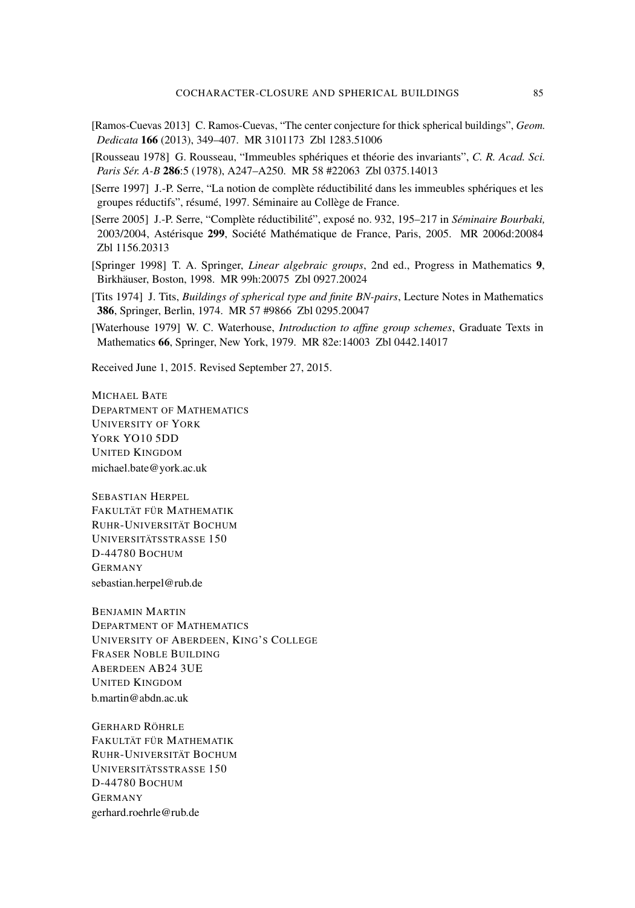- <span id="page-22-1"></span>[Ramos-Cuevas 2013] C. Ramos-Cuevas, ["The center conjecture for thick spherical buildings",](http://dx.doi.org/10.1007/s10711-012-9799-9) *Geom. Dedicata* 166 (2013), 349–407. [MR 3101173](http://msp.org/idx/mr/3101173) [Zbl 1283.51006](http://msp.org/idx/zbl/1283.51006)
- <span id="page-22-0"></span>[Rousseau 1978] G. Rousseau, "Immeubles sphériques et théorie des invariants", *C. R. Acad. Sci. Paris Sér. A-B* 286:5 (1978), A247–A250. [MR 58 #22063](http://msp.org/idx/mr/58:22063) [Zbl 0375.14013](http://msp.org/idx/zbl/0375.14013)
- <span id="page-22-2"></span>[Serre 1997] J.-P. Serre, "La notion de complète réductibilité dans les immeubles sphériques et les groupes réductifs", résumé, 1997. Séminaire au Collège de France.
- <span id="page-22-6"></span>[Serre 2005] J.-P. Serre, "Complète réductibilité", exposé no. 932, 195–217 in *Séminaire Bourbaki,* 2003/2004, Astérisque 299, Société Mathématique de France, Paris, 2005. [MR 2006d:20084](http://msp.org/idx/mr/2006d:20084) [Zbl 1156.20313](http://msp.org/idx/zbl/1156.20313)
- <span id="page-22-4"></span>[Springer 1998] T. A. Springer, *[Linear algebraic groups](http://dx.doi.org/10.1007/978-0-8176-4840-4)*, 2nd ed., Progress in Mathematics 9, Birkhäuser, Boston, 1998. [MR 99h:20075](http://msp.org/idx/mr/99h:20075) [Zbl 0927.20024](http://msp.org/idx/zbl/0927.20024)
- <span id="page-22-3"></span>[Tits 1974] J. Tits, *[Buildings of spherical type and finite BN-pairs](http://dx.doi.org/10.1007/978-3-540-38349-9)*, Lecture Notes in Mathematics 386, Springer, Berlin, 1974. [MR 57 #9866](http://msp.org/idx/mr/57:9866) [Zbl 0295.20047](http://msp.org/idx/zbl/0295.20047)
- <span id="page-22-5"></span>[Waterhouse 1979] W. C. Waterhouse, *[Introduction to affine group schemes](http://dx.doi.org/10.1007/978-1-4612-6217-6)*, Graduate Texts in Mathematics 66, Springer, New York, 1979. [MR 82e:14003](http://msp.org/idx/mr/82e:14003) [Zbl 0442.14017](http://msp.org/idx/zbl/0442.14017)

Received June 1, 2015. Revised September 27, 2015.

MICHAEL BATE DEPARTMENT OF MATHEMATICS UNIVERSITY OF YORK YORK YO10 5DD UNITED KINGDOM [michael.bate@york.ac.uk](mailto:michael.bate@york.ac.uk)

SEBASTIAN HERPEL FAKULTÄT FÜR MATHEMATIK RUHR-UNIVERSITÄT BOCHUM UNIVERSITÄTSSTRASSE 150 D-44780 BOCHUM GERMANY [sebastian.herpel@rub.de](mailto:sebastian.herpel@rub.de)

BENJAMIN MARTIN DEPARTMENT OF MATHEMATICS UNIVERSITY OF ABERDEEN, KING'S COLLEGE FRASER NOBLE BUILDING ABERDEEN AB24 3UE UNITED KINGDOM [b.martin@abdn.ac.uk](mailto:b.martin@abdn.ac.uk)

GERHARD RÖHRLE FAKULTÄT FÜR MATHEMATIK RUHR-UNIVERSITÄT BOCHUM UNIVERSITÄTSSTRASSE 150 D-44780 BOCHUM GERMANY [gerhard.roehrle@rub.de](mailto:gerhard.roehrle@rub.de)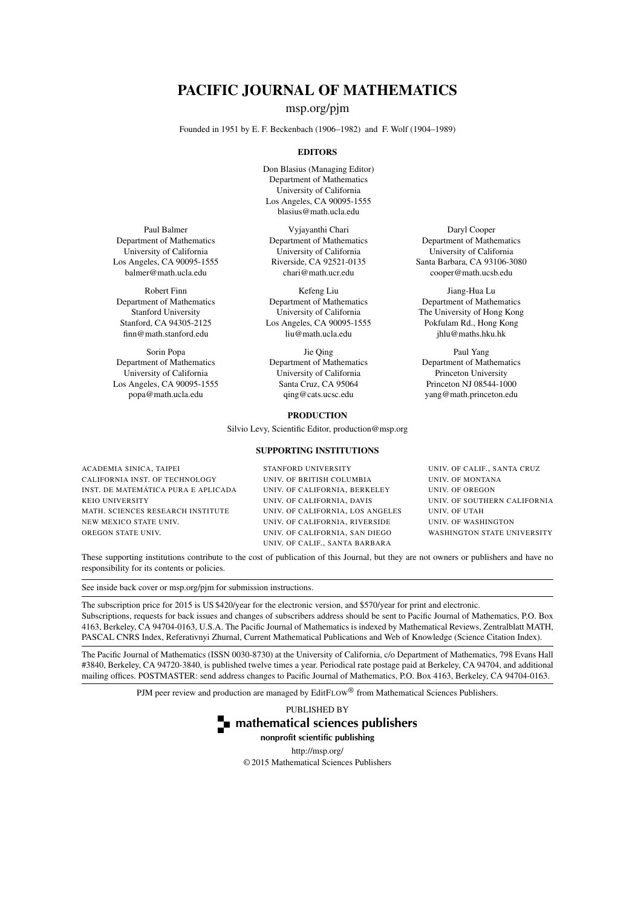# PACIFIC JOURNAL OF MATHEMATICS

[msp.org/pjm](http://msp.org/pjm/)

Founded in 1951 by E. F. Beckenbach (1906–1982) and F. Wolf (1904–1989)

#### **EDITORS**

Don Blasius (Managing Editor) Department of Mathematics University of California Los Angeles, CA 90095-1555 [blasius@math.ucla.edu](mailto:blasius@math.ucla.edu)

Vyjayanthi Chari Department of Mathematics University of California Riverside, CA 92521-0135 [chari@math.ucr.edu](mailto:chari@math.ucr.edu)

Kefeng Liu Department of Mathematics University of California Los Angeles, CA 90095-1555 [liu@math.ucla.edu](mailto:liu@math.ucla.edu)

Jie Qing Department of Mathematics University of California Santa Cruz, CA 95064 [qing@cats.ucsc.edu](mailto:qing@cats.ucsc.edu)

#### PRODUCTION

Silvio Levy, Scientific Editor, [production@msp.org](mailto:production@msp.org)

#### SUPPORTING INSTITUTIONS

ACADEMIA SINICA, TAIPEI CALIFORNIA INST. OF TECHNOLOGY INST. DE MATEMÁTICA PURA E APLICADA KEIO UNIVERSITY MATH. SCIENCES RESEARCH INSTITUTE NEW MEXICO STATE UNIV. OREGON STATE UNIV.

#### STANFORD UNIVERSITY UNIV. OF BRITISH COLUMBIA UNIV. OF CALIFORNIA, BERKELEY UNIV. OF CALIFORNIA, DAVIS UNIV. OF CALIFORNIA, LOS ANGELES UNIV. OF CALIFORNIA, RIVERSIDE UNIV. OF CALIFORNIA, SAN DIEGO UNIV. OF CALIF., SANTA BARBARA

Daryl Cooper Department of Mathematics University of California Santa Barbara, CA 93106-3080 [cooper@math.ucsb.edu](mailto:cooper@math.ucsb.edu)

Jiang-Hua Lu Department of Mathematics The University of Hong Kong Pokfulam Rd., Hong Kong [jhlu@maths.hku.hk](mailto:jhlu@maths.hku.hk)

Paul Yang Department of Mathematics Princeton University Princeton NJ 08544-1000 [yang@math.princeton.edu](mailto:yang@math.princeton.edu)

UNIV. OF CALIF., SANTA CRUZ UNIV. OF MONTANA UNIV. OF OREGON UNIV. OF SOUTHERN CALIFORNIA UNIV. OF UTAH UNIV. OF WASHINGTON WASHINGTON STATE UNIVERSITY

These supporting institutions contribute to the cost of publication of this Journal, but they are not owners or publishers and have no responsibility for its contents or policies.

See inside back cover or [msp.org/pjm](http://msp.org/pjm/) for submission instructions.

The subscription price for 2015 is US \$420/year for the electronic version, and \$570/year for print and electronic. Subscriptions, requests for back issues and changes of subscribers address should be sent to Pacific Journal of Mathematics, P.O. Box 4163, Berkeley, CA 94704-0163, U.S.A. The Pacific Journal of Mathematics is indexed by [Mathematical Reviews,](http://www.ams.org/mathscinet) [Zentralblatt MATH,](http://www.emis.de/ZMATH/) PASCAL CNRS Index, [Referativnyi Zhurnal,](http://www.viniti.ru/math_new.html) [Current Mathematical Publications](http://www.ams.org/bookstore-getitem/item=cmp) and [Web of Knowledge \(Science Citation Index\).](http://apps.isiknowledge.com)

The Pacific Journal of Mathematics (ISSN 0030-8730) at the University of California, c/o Department of Mathematics, 798 Evans Hall #3840, Berkeley, CA 94720-3840, is published twelve times a year. Periodical rate postage paid at Berkeley, CA 94704, and additional mailing offices. POSTMASTER: send address changes to Pacific Journal of Mathematics, P.O. Box 4163, Berkeley, CA 94704-0163.

PJM peer review and production are managed by EditFLOW<sup>®</sup> from Mathematical Sciences Publishers.

PUBLISHED BY



nonprofit scientific publishing

<http://msp.org/>

© 2015 Mathematical Sciences Publishers

Paul Balmer Department of Mathematics University of California Los Angeles, CA 90095-1555 [balmer@math.ucla.edu](mailto:balmer@math.ucla.edu)

Robert Finn Department of Mathematics Stanford University Stanford, CA 94305-2125 [finn@math.stanford.edu](mailto:finn@math.stanford.edu)

Sorin Popa Department of Mathematics University of California Los Angeles, CA 90095-1555 [popa@math.ucla.edu](mailto:popa@math.ucla.edu)